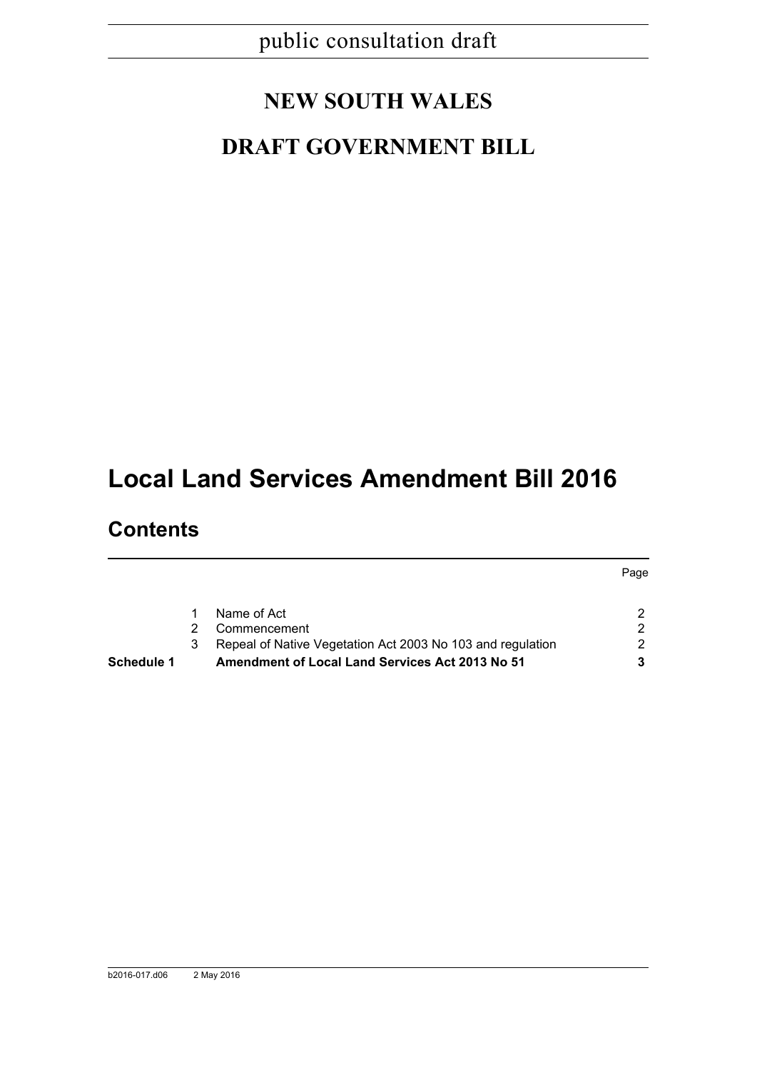# **NEW SOUTH WALES**

# **DRAFT GOVERNMENT BILL**

# **Local Land Services Amendment Bill 2016**

# **Contents**

| Schedule 1 |   | <b>Amendment of Local Land Services Act 2013 No 51</b>     |    |
|------------|---|------------------------------------------------------------|----|
|            |   | Repeal of Native Vegetation Act 2003 No 103 and regulation | 2. |
|            | 2 | Commencement                                               |    |
|            |   | Name of Act                                                |    |
|            |   |                                                            |    |

Page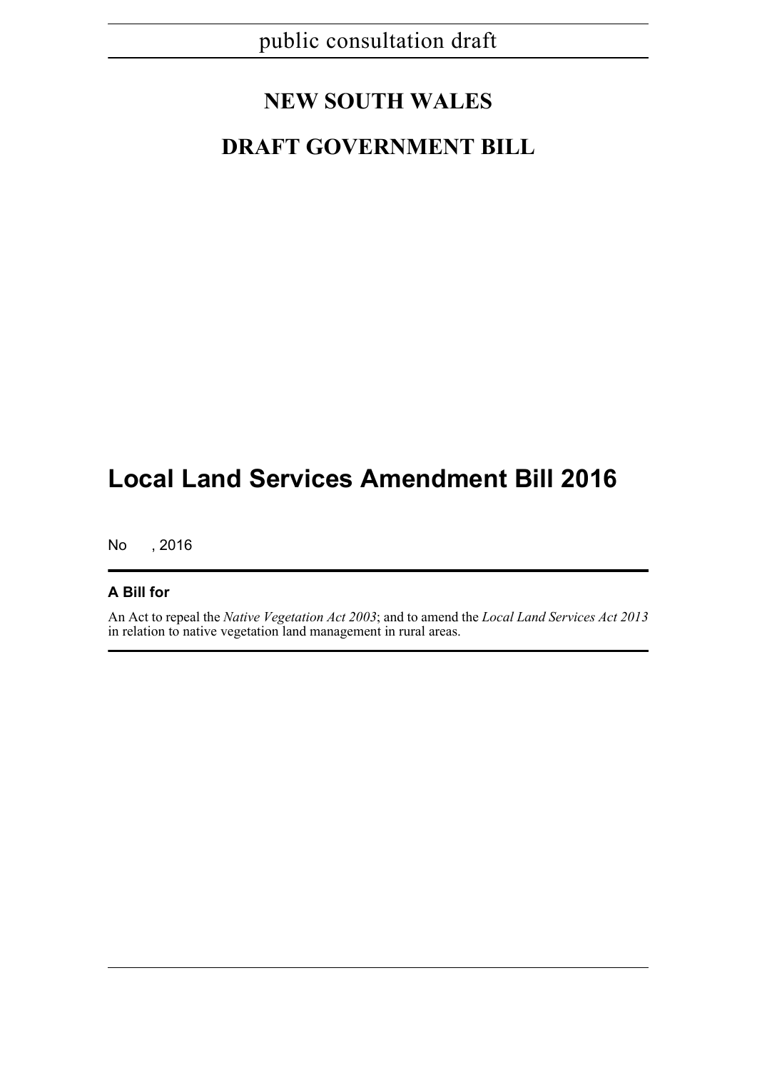# **NEW SOUTH WALES**

# **DRAFT GOVERNMENT BILL**

# **Local Land Services Amendment Bill 2016**

No , 2016

# **A Bill for**

An Act to repeal the *Native Vegetation Act 2003*; and to amend the *Local Land Services Act 2013* in relation to native vegetation land management in rural areas.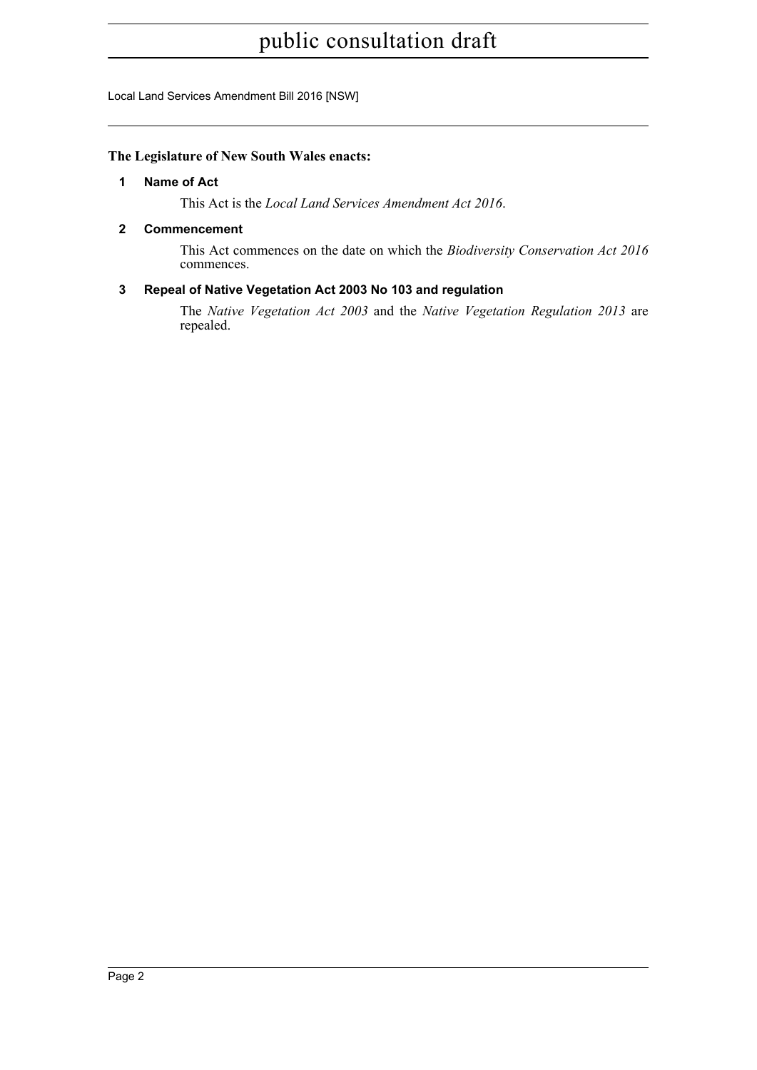Local Land Services Amendment Bill 2016 [NSW]

# <span id="page-2-0"></span>**The Legislature of New South Wales enacts:**

## **1 Name of Act**

This Act is the *Local Land Services Amendment Act 2016*.

# <span id="page-2-1"></span>**2 Commencement**

This Act commences on the date on which the *Biodiversity Conservation Act 2016* commences.

# <span id="page-2-2"></span>**3 Repeal of Native Vegetation Act 2003 No 103 and regulation**

The *Native Vegetation Act 2003* and the *Native Vegetation Regulation 2013* are repealed.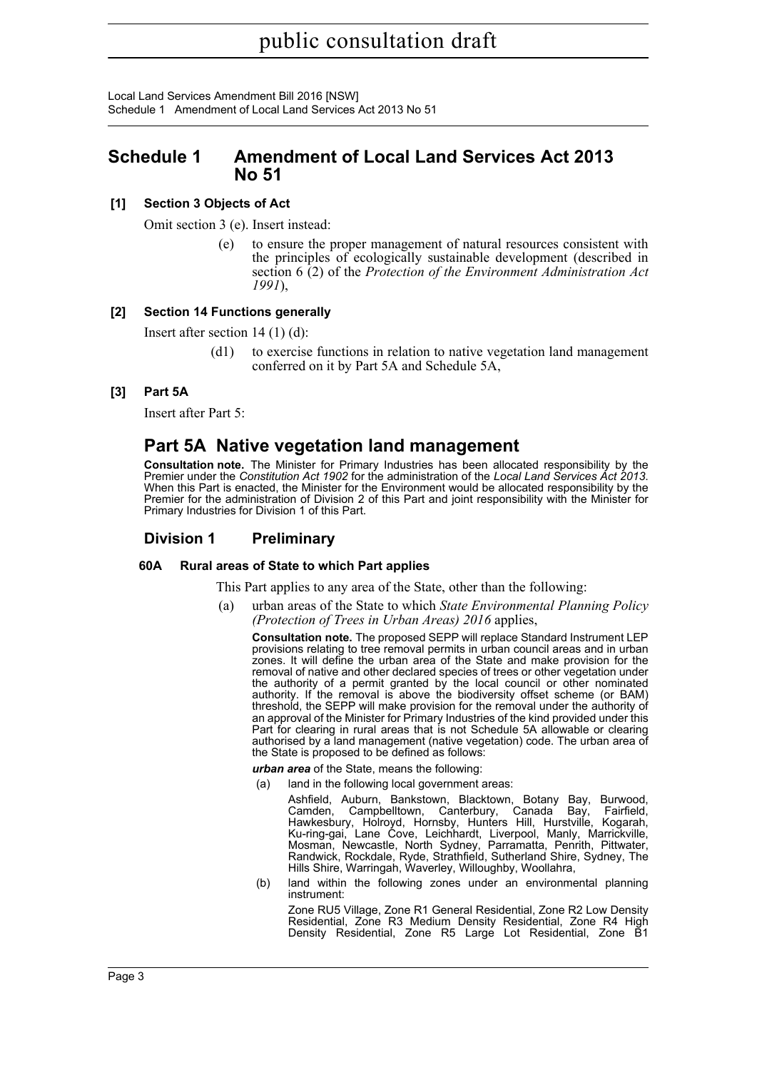Local Land Services Amendment Bill 2016 [NSW] Schedule 1 Amendment of Local Land Services Act 2013 No 51

# <span id="page-3-0"></span>**Schedule 1 Amendment of Local Land Services Act 2013 No 51**

# **[1] Section 3 Objects of Act**

Omit section 3 (e). Insert instead:

to ensure the proper management of natural resources consistent with the principles of ecologically sustainable development (described in section 6 (2) of the *Protection of the Environment Administration Act 1991*),

## **[2] Section 14 Functions generally**

Insert after section 14 (1) (d):

(d1) to exercise functions in relation to native vegetation land management conferred on it by Part 5A and Schedule 5A,

### **[3] Part 5A**

Insert after Part 5:

# **Part 5A Native vegetation land management**

**Consultation note.** The Minister for Primary Industries has been allocated responsibility by the Premier under the *Constitution Act 1902* for the administration of the *Local Land Services Act 2013.*<br>When this Part is enacted, the Minister for the Environment would be allocated responsibility by the Premier for the administration of Division 2 of this Part and joint responsibility with the Minister for Primary Industries for Division 1 of this Part.

## **Division 1 Preliminary**

#### **60A Rural areas of State to which Part applies**

This Part applies to any area of the State, other than the following:

(a) urban areas of the State to which *State Environmental Planning Policy (Protection of Trees in Urban Areas) 2016* applies,

**Consultation note.** The proposed SEPP will replace Standard Instrument LEP provisions relating to tree removal permits in urban council areas and in urban zones. It will define the urban area of the State and make provision for the removal of native and other declared species of trees or other vegetation under the authority of a permit granted by the local council or other nominated authority. If the removal is above the biodiversity offset scheme (or BAM) threshold, the SEPP will make provision for the removal under the authority of an approval of the Minister for Primary Industries of the kind provided under this Part for clearing in rural areas that is not Schedule 5A allowable or clearing authorised by a land management (native vegetation) code. The urban area of the State is proposed to be defined as follows:

*urban area* of the State, means the following:

(a) land in the following local government areas:

Ashfield, Auburn, Bankstown, Blacktown, Botany Bay, Burwood, Camden, Campbelltown, Canterbury, Canada Bay, Fairfield, Hawkesbury, Holroyd, Hornsby, Hunters Hill, Hurstville, Kogarah, Ku-ring-gai, Lane Cove, Leichhardt, Liverpool, Manly, Marrickville, Mosman, Newcastle, North Sydney, Parramatta, Penrith, Pittwater, Randwick, Rockdale, Ryde, Strathfield, Sutherland Shire, Sydney, The Hills Shire, Warringah, Waverley, Willoughby, Woollahra,

(b) land within the following zones under an environmental planning instrument:

Zone RU5 Village, Zone R1 General Residential, Zone R2 Low Density Residential, Zone R3 Medium Density Residential, Zone R4 High Density Residential, Zone R5 Large Lot Residential, Zone B1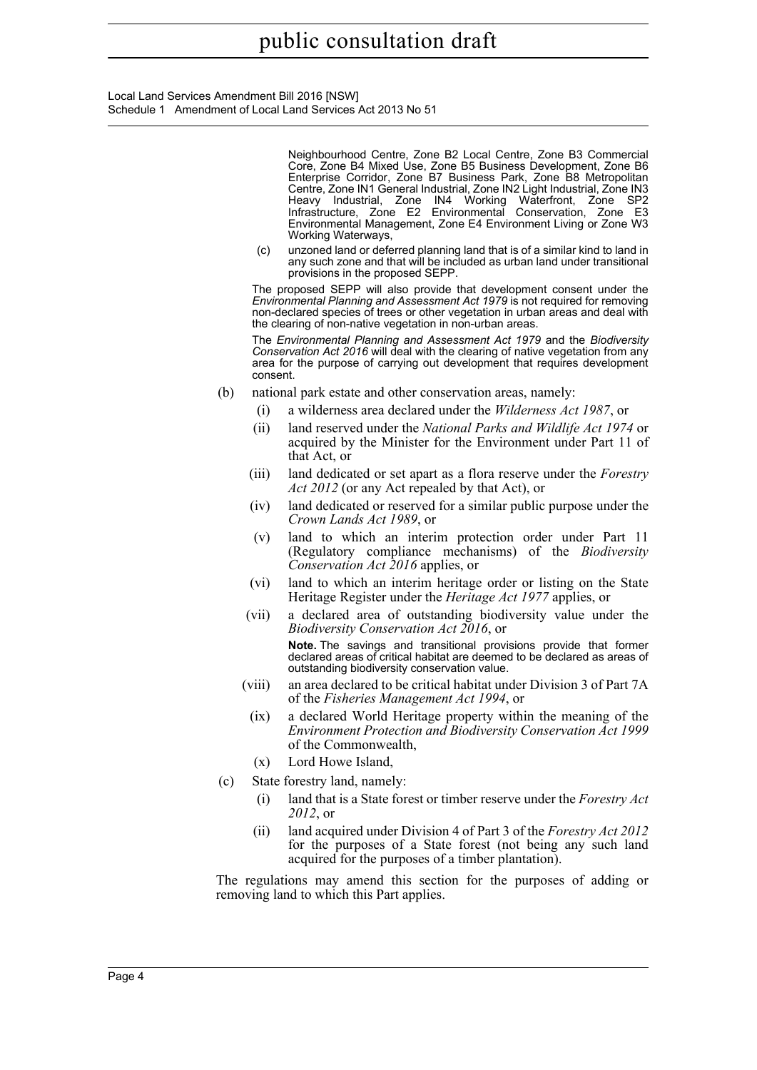Local Land Services Amendment Bill 2016 [NSW] Schedule 1 Amendment of Local Land Services Act 2013 No 51

> Neighbourhood Centre, Zone B2 Local Centre, Zone B3 Commercial Core, Zone B4 Mixed Use, Zone B5 Business Development, Zone B6 Enterprise Corridor, Zone B7 Business Park, Zone B8 Metropolitan Centre, Zone IN1 General Industrial, Zone IN2 Light Industrial, Zone IN3 Heavy Industrial, Zone IN4 Working Waterfront, Zone SP2 Infrastructure, Zone E2 Environmental Conservation, Zone E3 Environmental Management, Zone E4 Environment Living or Zone W3 Working Waterways,

(c) unzoned land or deferred planning land that is of a similar kind to land in any such zone and that will be included as urban land under transitional provisions in the proposed SEPP.

The proposed SEPP will also provide that development consent under the *Environmental Planning and Assessment Act 1979* is not required for removing non-declared species of trees or other vegetation in urban areas and deal with the clearing of non-native vegetation in non-urban areas.

The *Environmental Planning and Assessment Act 1979* and the *Biodiversity Conservation Act 2016* will deal with the clearing of native vegetation from any area for the purpose of carrying out development that requires development consent.

- (b) national park estate and other conservation areas, namely:
	- (i) a wilderness area declared under the *Wilderness Act 1987*, or
	- (ii) land reserved under the *National Parks and Wildlife Act 1974* or acquired by the Minister for the Environment under Part 11 of that Act, or
	- (iii) land dedicated or set apart as a flora reserve under the *Forestry Act 2012* (or any Act repealed by that Act), or
	- (iv) land dedicated or reserved for a similar public purpose under the *Crown Lands Act 1989*, or
	- (v) land to which an interim protection order under Part 11 (Regulatory compliance mechanisms) of the *Biodiversity Conservation Act 2016* applies, or
	- (vi) land to which an interim heritage order or listing on the State Heritage Register under the *Heritage Act 1977* applies, or
	- (vii) a declared area of outstanding biodiversity value under the *Biodiversity Conservation Act 2016*, or **Note.** The savings and transitional provisions provide that former declared areas of critical habitat are deemed to be declared as areas of outstanding biodiversity conservation value.
	- (viii) an area declared to be critical habitat under Division 3 of Part 7A of the *Fisheries Management Act 1994*, or
	- (ix) a declared World Heritage property within the meaning of the *Environment Protection and Biodiversity Conservation Act 1999* of the Commonwealth,
	- (x) Lord Howe Island,
- (c) State forestry land, namely:
	- (i) land that is a State forest or timber reserve under the *Forestry Act 2012*, or
	- (ii) land acquired under Division 4 of Part 3 of the *Forestry Act 2012* for the purposes of a State forest (not being any such land acquired for the purposes of a timber plantation).

The regulations may amend this section for the purposes of adding or removing land to which this Part applies.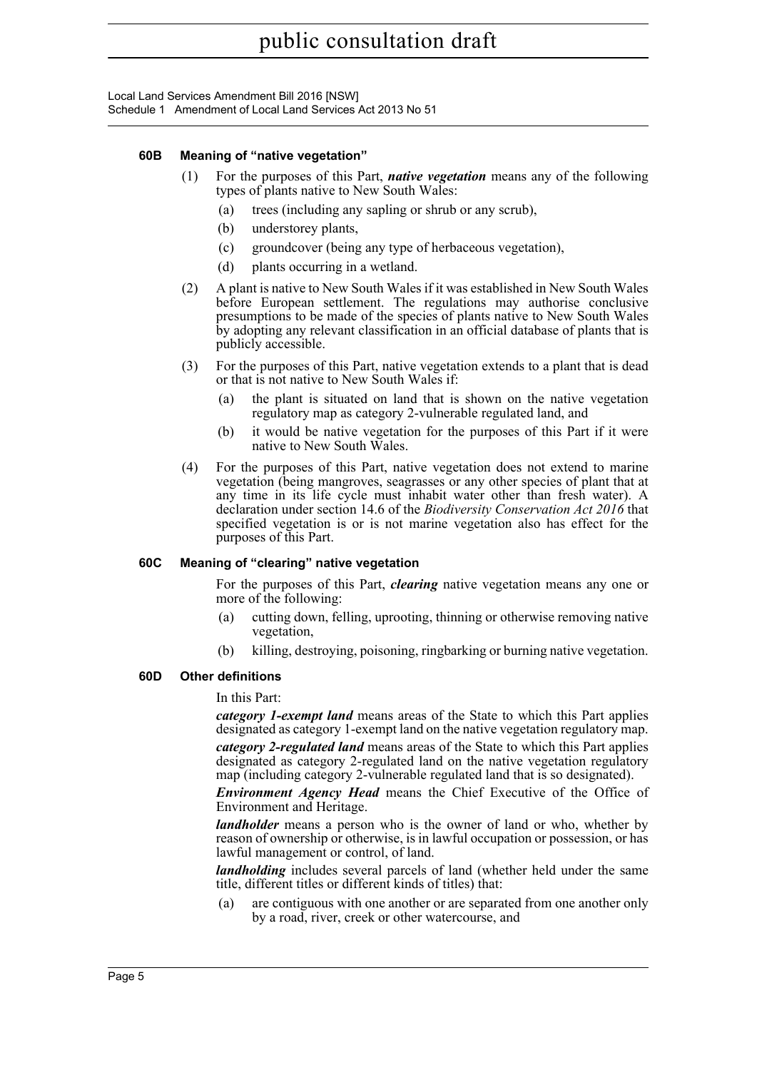### **60B Meaning of "native vegetation"**

- (1) For the purposes of this Part, *native vegetation* means any of the following types of plants native to New South Wales:
	- (a) trees (including any sapling or shrub or any scrub),
	- (b) understorey plants,
	- (c) groundcover (being any type of herbaceous vegetation),
	- (d) plants occurring in a wetland.
- (2) A plant is native to New South Wales if it was established in New South Wales before European settlement. The regulations may authorise conclusive presumptions to be made of the species of plants native to New South Wales by adopting any relevant classification in an official database of plants that is publicly accessible.
- (3) For the purposes of this Part, native vegetation extends to a plant that is dead or that is not native to New South Wales if:
	- (a) the plant is situated on land that is shown on the native vegetation regulatory map as category 2-vulnerable regulated land, and
	- (b) it would be native vegetation for the purposes of this Part if it were native to New South Wales.
- (4) For the purposes of this Part, native vegetation does not extend to marine vegetation (being mangroves, seagrasses or any other species of plant that at any time in its life cycle must inhabit water other than fresh water). A declaration under section 14.6 of the *Biodiversity Conservation Act 2016* that specified vegetation is or is not marine vegetation also has effect for the purposes of this Part.

#### **60C Meaning of "clearing" native vegetation**

For the purposes of this Part, *clearing* native vegetation means any one or more of the following:

- (a) cutting down, felling, uprooting, thinning or otherwise removing native vegetation,
- (b) killing, destroying, poisoning, ringbarking or burning native vegetation.

#### **60D Other definitions**

In this Part:

*category 1-exempt land* means areas of the State to which this Part applies designated as category 1-exempt land on the native vegetation regulatory map.

*category 2-regulated land* means areas of the State to which this Part applies designated as category 2-regulated land on the native vegetation regulatory map (including category 2-vulnerable regulated land that is so designated).

*Environment Agency Head* means the Chief Executive of the Office of Environment and Heritage.

*landholder* means a person who is the owner of land or who, whether by reason of ownership or otherwise, is in lawful occupation or possession, or has lawful management or control, of land.

*landholding* includes several parcels of land (whether held under the same title, different titles or different kinds of titles) that:

(a) are contiguous with one another or are separated from one another only by a road, river, creek or other watercourse, and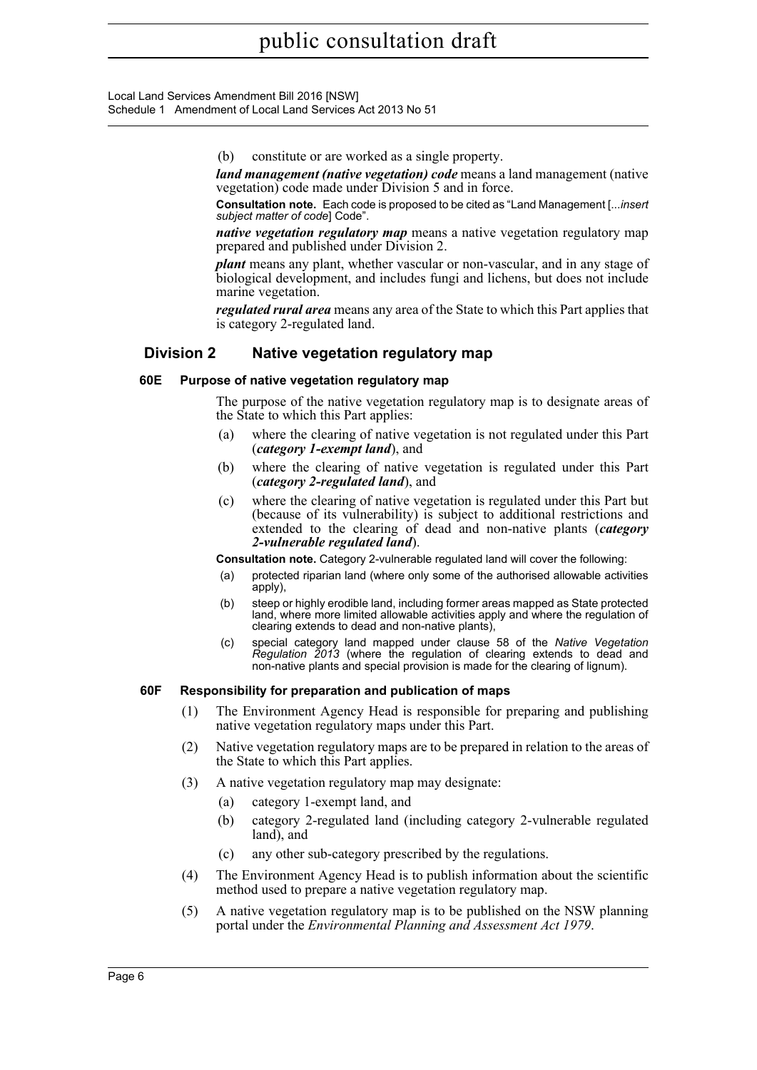Local Land Services Amendment Bill 2016 [NSW] Schedule 1 Amendment of Local Land Services Act 2013 No 51

(b) constitute or are worked as a single property.

*land management (native vegetation) code* means a land management (native vegetation) code made under Division 5 and in force.

**Consultation note.** Each code is proposed to be cited as "Land Management [...*insert subject matter of code*] Code".

*native vegetation regulatory map* means a native vegetation regulatory map prepared and published under Division 2.

*plant* means any plant, whether vascular or non-vascular, and in any stage of biological development, and includes fungi and lichens, but does not include marine vegetation.

*regulated rural area* means any area of the State to which this Part applies that is category 2-regulated land.

# **Division 2 Native vegetation regulatory map**

### **60E Purpose of native vegetation regulatory map**

The purpose of the native vegetation regulatory map is to designate areas of the State to which this Part applies:

- (a) where the clearing of native vegetation is not regulated under this Part (*category 1-exempt land*), and
- (b) where the clearing of native vegetation is regulated under this Part (*category 2-regulated land*), and
- (c) where the clearing of native vegetation is regulated under this Part but (because of its vulnerability) is subject to additional restrictions and extended to the clearing of dead and non-native plants (*category 2-vulnerable regulated land*).

**Consultation note.** Category 2-vulnerable regulated land will cover the following:

- (a) protected riparian land (where only some of the authorised allowable activities apply),
- (b) steep or highly erodible land, including former areas mapped as State protected land, where more limited allowable activities apply and where the regulation of clearing extends to dead and non-native plants),
- (c) special category land mapped under clause 58 of the *Native Vegetation Regulation 2013* (where the regulation of clearing extends to dead and non-native plants and special provision is made for the clearing of lignum).

# **60F Responsibility for preparation and publication of maps**

- (1) The Environment Agency Head is responsible for preparing and publishing native vegetation regulatory maps under this Part.
- (2) Native vegetation regulatory maps are to be prepared in relation to the areas of the State to which this Part applies.
- (3) A native vegetation regulatory map may designate:
	- (a) category 1-exempt land, and
	- (b) category 2-regulated land (including category 2-vulnerable regulated land), and
	- (c) any other sub-category prescribed by the regulations.
- (4) The Environment Agency Head is to publish information about the scientific method used to prepare a native vegetation regulatory map.
- (5) A native vegetation regulatory map is to be published on the NSW planning portal under the *Environmental Planning and Assessment Act 1979*.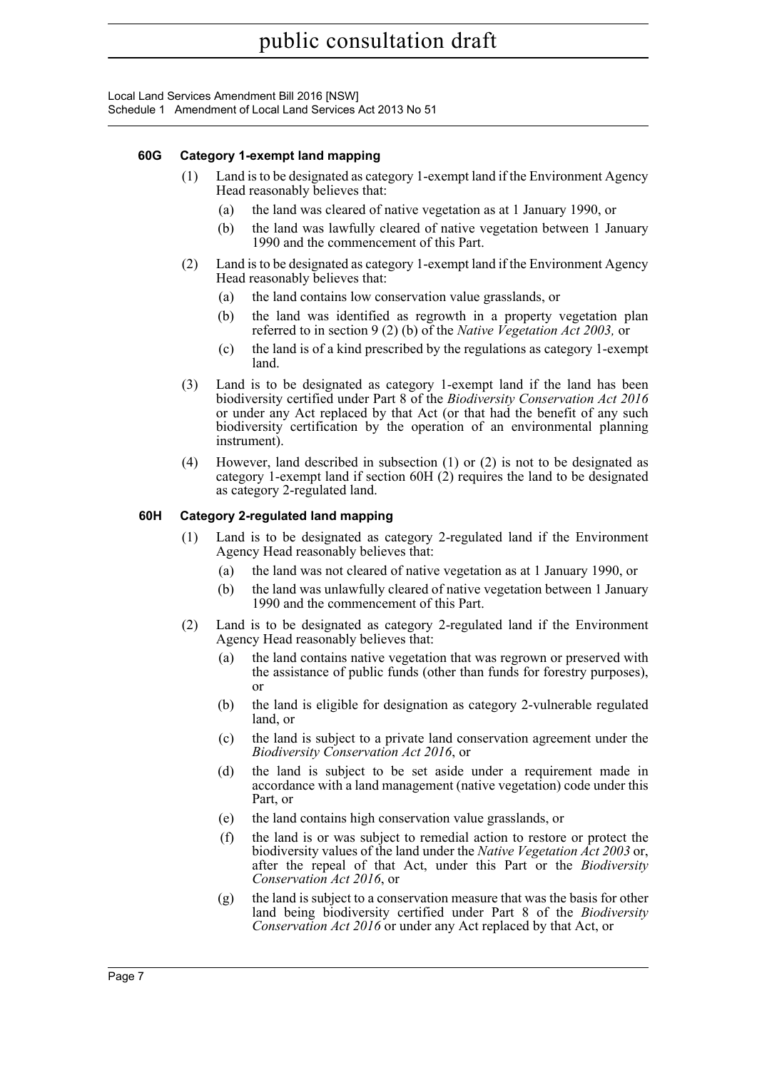Local Land Services Amendment Bill 2016 [NSW] Schedule 1 Amendment of Local Land Services Act 2013 No 51

### **60G Category 1-exempt land mapping**

- (1) Land is to be designated as category 1-exempt land if the Environment Agency Head reasonably believes that:
	- (a) the land was cleared of native vegetation as at 1 January 1990, or
	- (b) the land was lawfully cleared of native vegetation between 1 January 1990 and the commencement of this Part.
- (2) Land is to be designated as category 1-exempt land if the Environment Agency Head reasonably believes that:
	- (a) the land contains low conservation value grasslands, or
	- (b) the land was identified as regrowth in a property vegetation plan referred to in section 9 (2) (b) of the *Native Vegetation Act 2003,* or
	- (c) the land is of a kind prescribed by the regulations as category 1-exempt land.
- (3) Land is to be designated as category 1-exempt land if the land has been biodiversity certified under Part 8 of the *Biodiversity Conservation Act 2016* or under any Act replaced by that Act (or that had the benefit of any such biodiversity certification by the operation of an environmental planning instrument).
- (4) However, land described in subsection (1) or (2) is not to be designated as category 1-exempt land if section 60H (2) requires the land to be designated as category 2-regulated land.

### **60H Category 2-regulated land mapping**

- (1) Land is to be designated as category 2-regulated land if the Environment Agency Head reasonably believes that:
	- (a) the land was not cleared of native vegetation as at 1 January 1990, or
	- (b) the land was unlawfully cleared of native vegetation between 1 January 1990 and the commencement of this Part.
- (2) Land is to be designated as category 2-regulated land if the Environment Agency Head reasonably believes that:
	- (a) the land contains native vegetation that was regrown or preserved with the assistance of public funds (other than funds for forestry purposes), or
	- (b) the land is eligible for designation as category 2-vulnerable regulated land, or
	- (c) the land is subject to a private land conservation agreement under the *Biodiversity Conservation Act 2016*, or
	- (d) the land is subject to be set aside under a requirement made in accordance with a land management (native vegetation) code under this Part, or
	- (e) the land contains high conservation value grasslands, or
	- (f) the land is or was subject to remedial action to restore or protect the biodiversity values of the land under the *Native Vegetation Act 2003* or, after the repeal of that Act, under this Part or the *Biodiversity Conservation Act 2016*, or
	- (g) the land is subject to a conservation measure that was the basis for other land being biodiversity certified under Part 8 of the *Biodiversity Conservation Act 2016* or under any Act replaced by that Act, or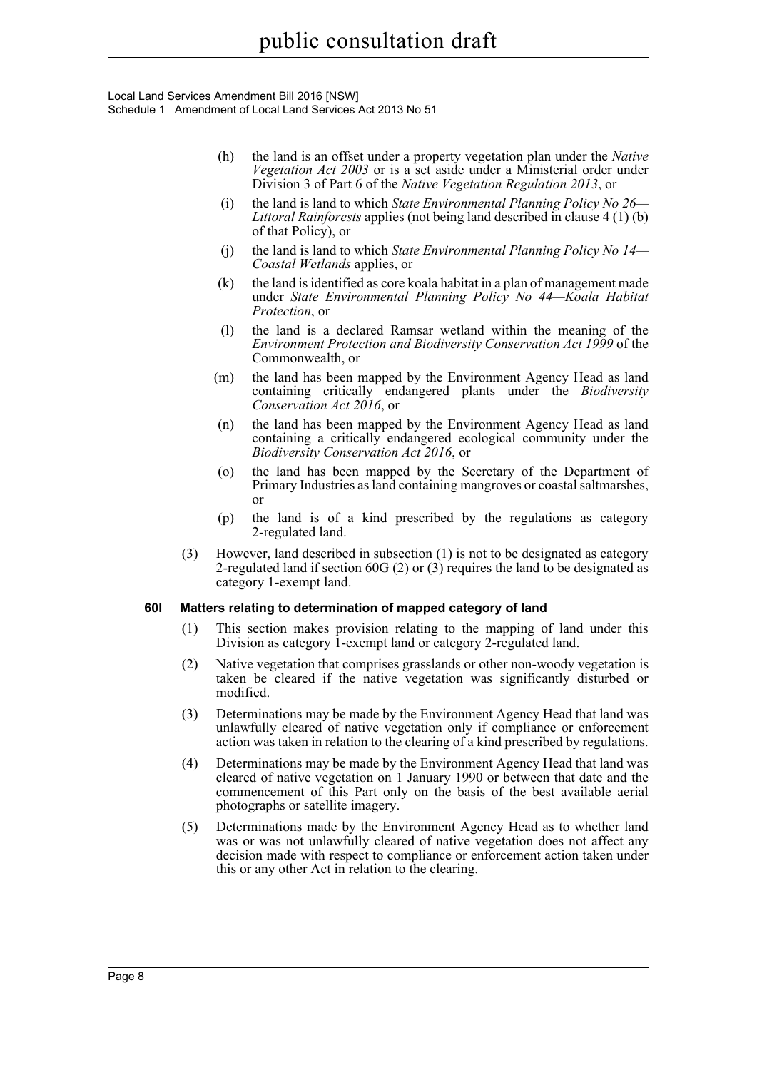Local Land Services Amendment Bill 2016 [NSW] Schedule 1 Amendment of Local Land Services Act 2013 No 51

- (h) the land is an offset under a property vegetation plan under the *Native Vegetation Act 2003* or is a set aside under a Ministerial order under Division 3 of Part 6 of the *Native Vegetation Regulation 2013*, or
- (i) the land is land to which *State Environmental Planning Policy No 26— Littoral Rainforests* applies (not being land described in clause 4 (1) (b) of that Policy), or
- (j) the land is land to which *State Environmental Planning Policy No 14— Coastal Wetlands* applies, or
- (k) the land is identified as core koala habitat in a plan of management made under *State Environmental Planning Policy No 44—Koala Habitat Protection*, or
- (l) the land is a declared Ramsar wetland within the meaning of the *Environment Protection and Biodiversity Conservation Act 1999* of the Commonwealth, or
- (m) the land has been mapped by the Environment Agency Head as land containing critically endangered plants under the *Biodiversity Conservation Act 2016*, or
- (n) the land has been mapped by the Environment Agency Head as land containing a critically endangered ecological community under the *Biodiversity Conservation Act 2016*, or
- (o) the land has been mapped by the Secretary of the Department of Primary Industries as land containing mangroves or coastal saltmarshes, or
- (p) the land is of a kind prescribed by the regulations as category 2-regulated land.
- (3) However, land described in subsection (1) is not to be designated as category 2-regulated land if section 60G (2) or (3) requires the land to be designated as category 1-exempt land.

## **60I Matters relating to determination of mapped category of land**

- (1) This section makes provision relating to the mapping of land under this Division as category 1-exempt land or category 2-regulated land.
- (2) Native vegetation that comprises grasslands or other non-woody vegetation is taken be cleared if the native vegetation was significantly disturbed or modified.
- (3) Determinations may be made by the Environment Agency Head that land was unlawfully cleared of native vegetation only if compliance or enforcement action was taken in relation to the clearing of a kind prescribed by regulations.
- (4) Determinations may be made by the Environment Agency Head that land was cleared of native vegetation on 1 January 1990 or between that date and the commencement of this Part only on the basis of the best available aerial photographs or satellite imagery.
- (5) Determinations made by the Environment Agency Head as to whether land was or was not unlawfully cleared of native vegetation does not affect any decision made with respect to compliance or enforcement action taken under this or any other Act in relation to the clearing.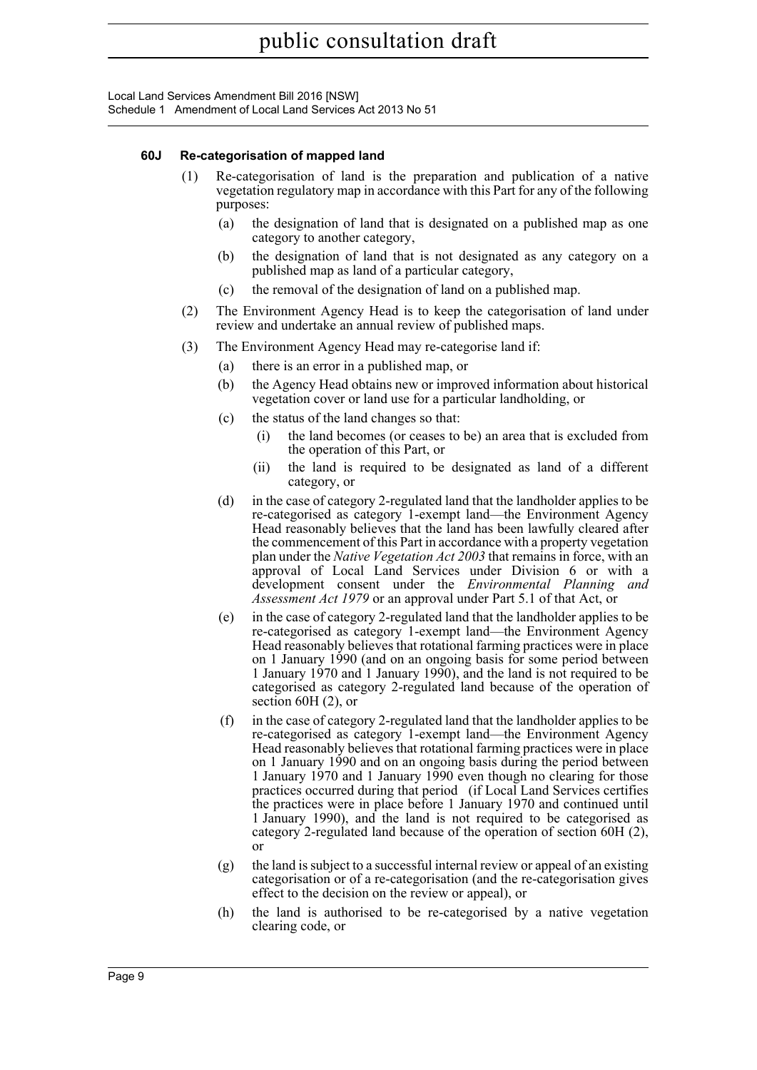Local Land Services Amendment Bill 2016 [NSW] Schedule 1 Amendment of Local Land Services Act 2013 No 51

## **60J Re-categorisation of mapped land**

- (1) Re-categorisation of land is the preparation and publication of a native vegetation regulatory map in accordance with this Part for any of the following purposes:
	- (a) the designation of land that is designated on a published map as one category to another category,
	- (b) the designation of land that is not designated as any category on a published map as land of a particular category,
	- (c) the removal of the designation of land on a published map.
- (2) The Environment Agency Head is to keep the categorisation of land under review and undertake an annual review of published maps.
- (3) The Environment Agency Head may re-categorise land if:
	- (a) there is an error in a published map, or
	- (b) the Agency Head obtains new or improved information about historical vegetation cover or land use for a particular landholding, or
	- (c) the status of the land changes so that:
		- (i) the land becomes (or ceases to be) an area that is excluded from the operation of this Part, or
		- (ii) the land is required to be designated as land of a different category, or
	- (d) in the case of category 2-regulated land that the landholder applies to be re-categorised as category 1-exempt land—the Environment Agency Head reasonably believes that the land has been lawfully cleared after the commencement of this Part in accordance with a property vegetation plan under the *Native Vegetation Act 2003* that remains in force, with an approval of Local Land Services under Division 6 or with a development consent under the *Environmental Planning and Assessment Act 1979* or an approval under Part 5.1 of that Act, or
	- (e) in the case of category 2-regulated land that the landholder applies to be re-categorised as category 1-exempt land—the Environment Agency Head reasonably believes that rotational farming practices were in place on 1 January 1990 (and on an ongoing basis for some period between 1 January 1970 and 1 January 1990), and the land is not required to be categorised as category 2-regulated land because of the operation of section 60H (2), or
	- (f) in the case of category 2-regulated land that the landholder applies to be re-categorised as category 1-exempt land—the Environment Agency Head reasonably believes that rotational farming practices were in place on 1 January 1990 and on an ongoing basis during the period between 1 January 1970 and 1 January 1990 even though no clearing for those practices occurred during that period (if Local Land Services certifies the practices were in place before 1 January 1970 and continued until 1 January 1990), and the land is not required to be categorised as category 2-regulated land because of the operation of section 60H (2), or
	- (g) the land is subject to a successful internal review or appeal of an existing categorisation or of a re-categorisation (and the re-categorisation gives effect to the decision on the review or appeal), or
	- (h) the land is authorised to be re-categorised by a native vegetation clearing code, or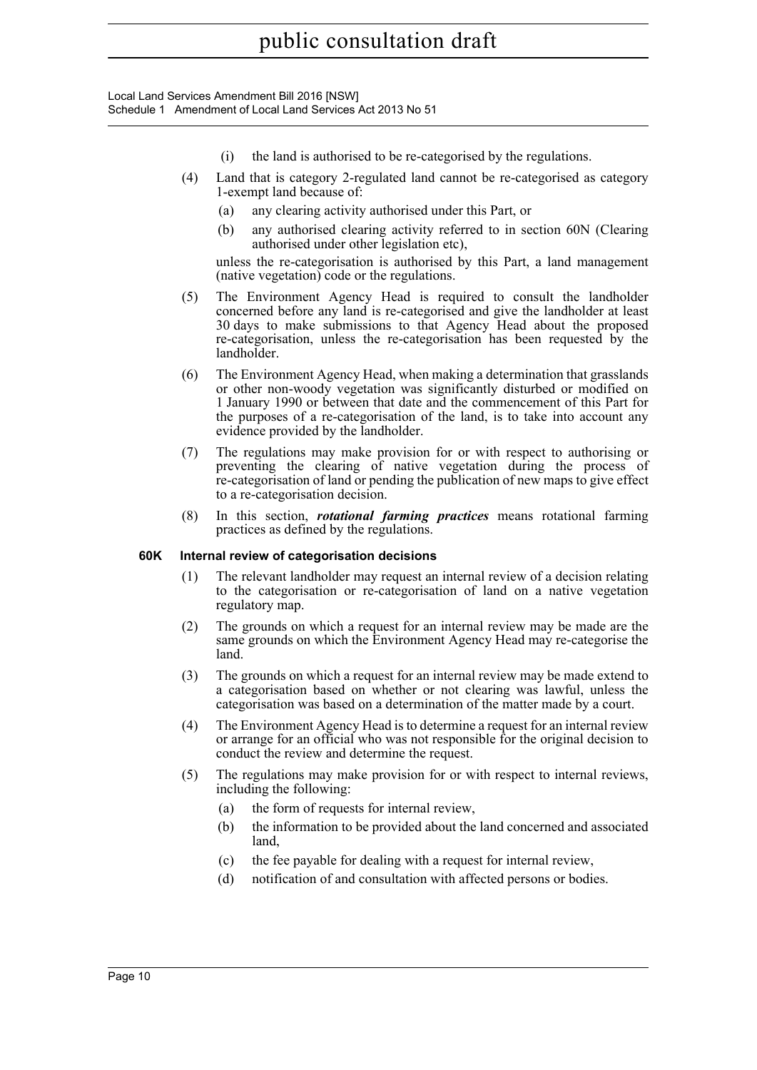Local Land Services Amendment Bill 2016 [NSW] Schedule 1 Amendment of Local Land Services Act 2013 No 51

- (i) the land is authorised to be re-categorised by the regulations.
- (4) Land that is category 2-regulated land cannot be re-categorised as category 1-exempt land because of:
	- (a) any clearing activity authorised under this Part, or
	- (b) any authorised clearing activity referred to in section 60N (Clearing authorised under other legislation etc),

unless the re-categorisation is authorised by this Part, a land management (native vegetation) code or the regulations.

- (5) The Environment Agency Head is required to consult the landholder concerned before any land is re-categorised and give the landholder at least 30 days to make submissions to that Agency Head about the proposed re-categorisation, unless the re-categorisation has been requested by the landholder.
- (6) The Environment Agency Head, when making a determination that grasslands or other non-woody vegetation was significantly disturbed or modified on 1 January 1990 or between that date and the commencement of this Part for the purposes of a re-categorisation of the land, is to take into account any evidence provided by the landholder.
- (7) The regulations may make provision for or with respect to authorising or preventing the clearing of native vegetation during the process of re-categorisation of land or pending the publication of new maps to give effect to a re-categorisation decision.
- (8) In this section, *rotational farming practices* means rotational farming practices as defined by the regulations.

## **60K Internal review of categorisation decisions**

- (1) The relevant landholder may request an internal review of a decision relating to the categorisation or re-categorisation of land on a native vegetation regulatory map.
- (2) The grounds on which a request for an internal review may be made are the same grounds on which the Environment Agency Head may re-categorise the land.
- (3) The grounds on which a request for an internal review may be made extend to a categorisation based on whether or not clearing was lawful, unless the categorisation was based on a determination of the matter made by a court.
- (4) The Environment Agency Head is to determine a request for an internal review or arrange for an official who was not responsible for the original decision to conduct the review and determine the request.
- (5) The regulations may make provision for or with respect to internal reviews, including the following:
	- (a) the form of requests for internal review,
	- (b) the information to be provided about the land concerned and associated land,
	- (c) the fee payable for dealing with a request for internal review,
	- (d) notification of and consultation with affected persons or bodies.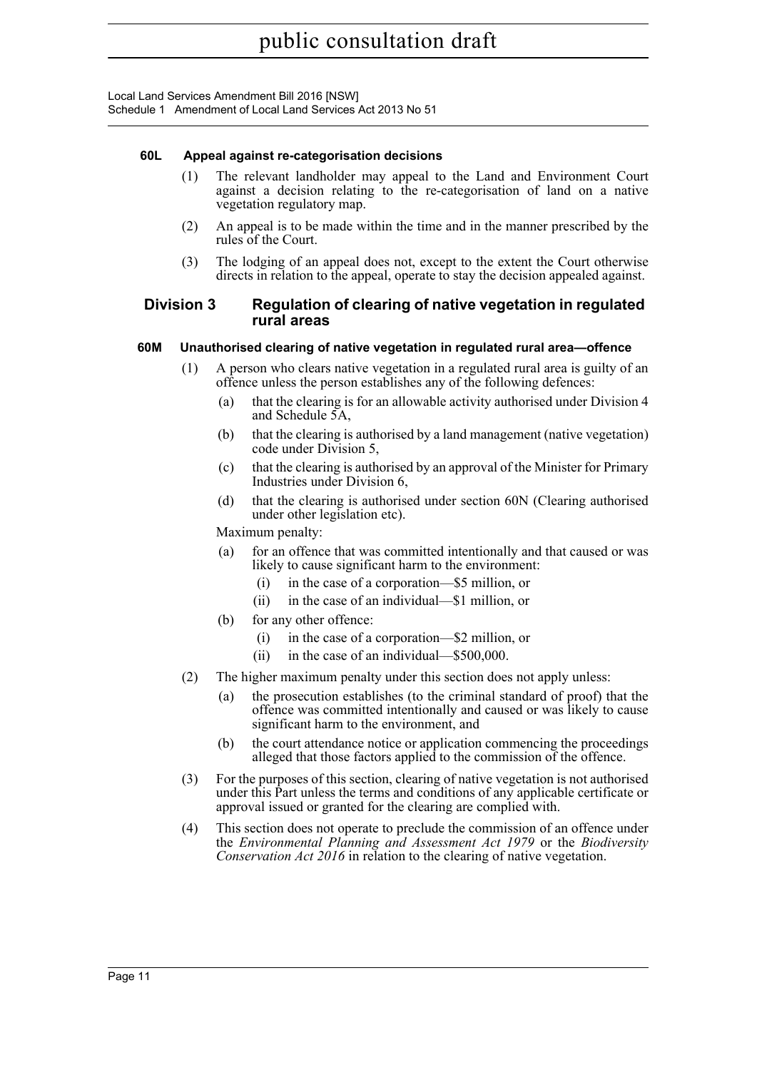## **60L Appeal against re-categorisation decisions**

- (1) The relevant landholder may appeal to the Land and Environment Court against a decision relating to the re-categorisation of land on a native vegetation regulatory map.
- (2) An appeal is to be made within the time and in the manner prescribed by the rules of the Court.
- (3) The lodging of an appeal does not, except to the extent the Court otherwise directs in relation to the appeal, operate to stay the decision appealed against.

# **Division 3 Regulation of clearing of native vegetation in regulated rural areas**

# **60M Unauthorised clearing of native vegetation in regulated rural area—offence**

- (1) A person who clears native vegetation in a regulated rural area is guilty of an offence unless the person establishes any of the following defences:
	- (a) that the clearing is for an allowable activity authorised under Division 4 and Schedule 5A,
	- (b) that the clearing is authorised by a land management (native vegetation) code under Division 5,
	- (c) that the clearing is authorised by an approval of the Minister for Primary Industries under Division 6,
	- (d) that the clearing is authorised under section 60N (Clearing authorised under other legislation etc).

Maximum penalty:

- (a) for an offence that was committed intentionally and that caused or was likely to cause significant harm to the environment:
	- (i) in the case of a corporation—\$5 million, or
	- (ii) in the case of an individual—\$1 million, or
- (b) for any other offence:
	- (i) in the case of a corporation—\$2 million, or
	- (ii) in the case of an individual—\$500,000.
- (2) The higher maximum penalty under this section does not apply unless:
	- (a) the prosecution establishes (to the criminal standard of proof) that the offence was committed intentionally and caused or was likely to cause significant harm to the environment, and
	- (b) the court attendance notice or application commencing the proceedings alleged that those factors applied to the commission of the offence.
- (3) For the purposes of this section, clearing of native vegetation is not authorised under this Part unless the terms and conditions of any applicable certificate or approval issued or granted for the clearing are complied with.
- (4) This section does not operate to preclude the commission of an offence under the *Environmental Planning and Assessment Act 1979* or the *Biodiversity Conservation Act 2016* in relation to the clearing of native vegetation.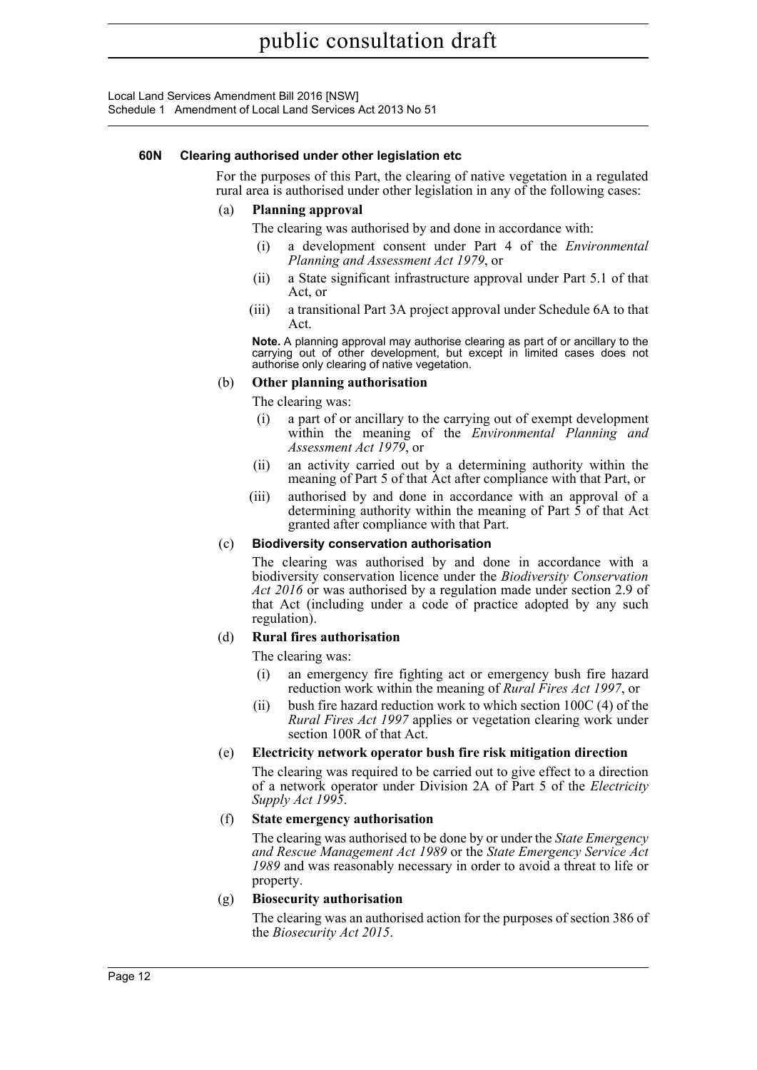### **60N Clearing authorised under other legislation etc**

For the purposes of this Part, the clearing of native vegetation in a regulated rural area is authorised under other legislation in any of the following cases:

### (a) **Planning approval**

The clearing was authorised by and done in accordance with:

- (i) a development consent under Part 4 of the *Environmental Planning and Assessment Act 1979*, or
- (ii) a State significant infrastructure approval under Part 5.1 of that Act, or
- (iii) a transitional Part 3A project approval under Schedule 6A to that Act.

**Note.** A planning approval may authorise clearing as part of or ancillary to the carrying out of other development, but except in limited cases does not authorise only clearing of native vegetation.

### (b) **Other planning authorisation**

The clearing was:

- (i) a part of or ancillary to the carrying out of exempt development within the meaning of the *Environmental Planning and Assessment Act 1979*, or
- (ii) an activity carried out by a determining authority within the meaning of Part 5 of that Act after compliance with that Part, or
- (iii) authorised by and done in accordance with an approval of a determining authority within the meaning of Part 5 of that Act granted after compliance with that Part.

## (c) **Biodiversity conservation authorisation**

The clearing was authorised by and done in accordance with a biodiversity conservation licence under the *Biodiversity Conservation Act 2016* or was authorised by a regulation made under section 2.9 of that Act (including under a code of practice adopted by any such regulation).

## (d) **Rural fires authorisation**

The clearing was:

- (i) an emergency fire fighting act or emergency bush fire hazard reduction work within the meaning of *Rural Fires Act 1997*, or
- (ii) bush fire hazard reduction work to which section 100C (4) of the *Rural Fires Act 1997* applies or vegetation clearing work under section 100R of that Act.

## (e) **Electricity network operator bush fire risk mitigation direction**

The clearing was required to be carried out to give effect to a direction of a network operator under Division 2A of Part 5 of the *Electricity Supply Act 1995*.

## (f) **State emergency authorisation**

The clearing was authorised to be done by or under the *State Emergency and Rescue Management Act 1989* or the *State Emergency Service Act 1989* and was reasonably necessary in order to avoid a threat to life or property.

## (g) **Biosecurity authorisation**

The clearing was an authorised action for the purposes of section 386 of the *Biosecurity Act 2015*.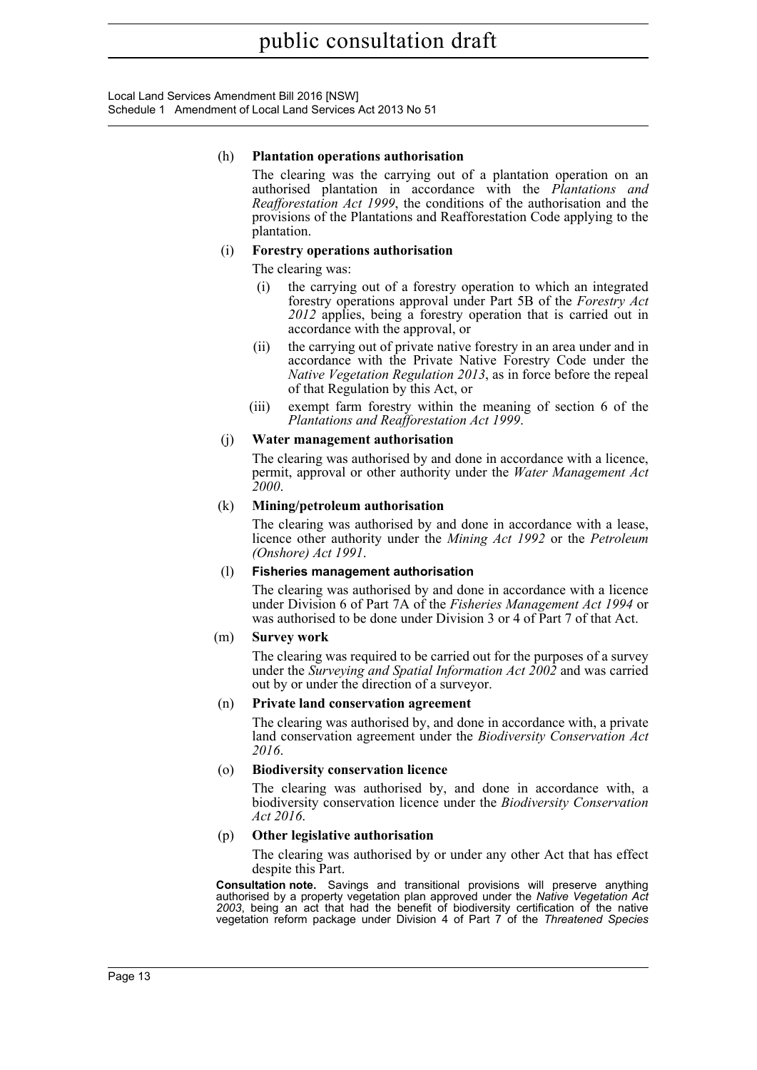Local Land Services Amendment Bill 2016 [NSW] Schedule 1 Amendment of Local Land Services Act 2013 No 51

### (h) **Plantation operations authorisation**

The clearing was the carrying out of a plantation operation on an authorised plantation in accordance with the *Plantations and Reafforestation Act 1999*, the conditions of the authorisation and the provisions of the Plantations and Reafforestation Code applying to the plantation.

## (i) **Forestry operations authorisation**

The clearing was:

- (i) the carrying out of a forestry operation to which an integrated forestry operations approval under Part 5B of the *Forestry Act 2012* applies, being a forestry operation that is carried out in accordance with the approval, or
- (ii) the carrying out of private native forestry in an area under and in accordance with the Private Native Forestry Code under the *Native Vegetation Regulation 2013*, as in force before the repeal of that Regulation by this Act, or
- (iii) exempt farm forestry within the meaning of section 6 of the *Plantations and Reafforestation Act 1999*.

## (j) **Water management authorisation**

The clearing was authorised by and done in accordance with a licence, permit, approval or other authority under the *Water Management Act 2000*.

## (k) **Mining/petroleum authorisation**

The clearing was authorised by and done in accordance with a lease, licence other authority under the *Mining Act 1992* or the *Petroleum (Onshore) Act 1991*.

## (l) **Fisheries management authorisation**

The clearing was authorised by and done in accordance with a licence under Division 6 of Part 7A of the *Fisheries Management Act 1994* or was authorised to be done under Division 3 or 4 of Part 7 of that Act.

## (m) **Survey work**

The clearing was required to be carried out for the purposes of a survey under the *Surveying and Spatial Information Act 2002* and was carried out by or under the direction of a surveyor.

## (n) **Private land conservation agreement**

The clearing was authorised by, and done in accordance with, a private land conservation agreement under the *Biodiversity Conservation Act 2016*.

## (o) **Biodiversity conservation licence**

The clearing was authorised by, and done in accordance with, a biodiversity conservation licence under the *Biodiversity Conservation Act 2016*.

## (p) **Other legislative authorisation**

The clearing was authorised by or under any other Act that has effect despite this Part.

**Consultation note.** Savings and transitional provisions will preserve anything authorised by a property vegetation plan approved under the *Native Vegetation Act 2003*, being an act that had the benefit of biodiversity certification of the native vegetation reform package under Division 4 of Part 7 of the *Threatened Species*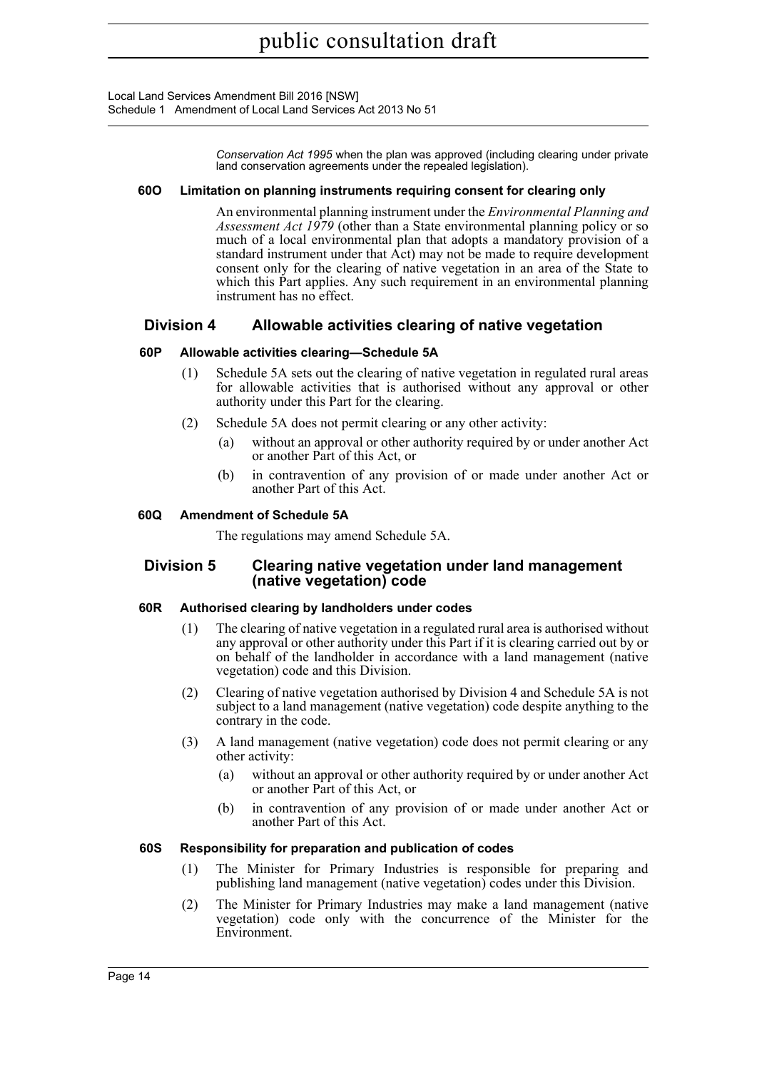Local Land Services Amendment Bill 2016 [NSW] Schedule 1 Amendment of Local Land Services Act 2013 No 51

> *Conservation Act 1995* when the plan was approved (including clearing under private land conservation agreements under the repealed legislation).

### **60O Limitation on planning instruments requiring consent for clearing only**

An environmental planning instrument under the *Environmental Planning and Assessment Act 1979* (other than a State environmental planning policy or so much of a local environmental plan that adopts a mandatory provision of a standard instrument under that Act) may not be made to require development consent only for the clearing of native vegetation in an area of the State to which this Part applies. Any such requirement in an environmental planning instrument has no effect.

# **Division 4 Allowable activities clearing of native vegetation**

## **60P Allowable activities clearing—Schedule 5A**

- (1) Schedule 5A sets out the clearing of native vegetation in regulated rural areas for allowable activities that is authorised without any approval or other authority under this Part for the clearing.
- (2) Schedule 5A does not permit clearing or any other activity:
	- (a) without an approval or other authority required by or under another Act or another Part of this Act, or
	- (b) in contravention of any provision of or made under another Act or another Part of this Act.

### **60Q Amendment of Schedule 5A**

The regulations may amend Schedule 5A.

# **Division 5 Clearing native vegetation under land management (native vegetation) code**

#### **60R Authorised clearing by landholders under codes**

- (1) The clearing of native vegetation in a regulated rural area is authorised without any approval or other authority under this Part if it is clearing carried out by or on behalf of the landholder in accordance with a land management (native vegetation) code and this Division.
- (2) Clearing of native vegetation authorised by Division 4 and Schedule 5A is not subject to a land management (native vegetation) code despite anything to the contrary in the code.
- (3) A land management (native vegetation) code does not permit clearing or any other activity:
	- (a) without an approval or other authority required by or under another Act or another Part of this Act, or
	- (b) in contravention of any provision of or made under another Act or another Part of this Act.

#### **60S Responsibility for preparation and publication of codes**

- (1) The Minister for Primary Industries is responsible for preparing and publishing land management (native vegetation) codes under this Division.
- (2) The Minister for Primary Industries may make a land management (native vegetation) code only with the concurrence of the Minister for the Environment.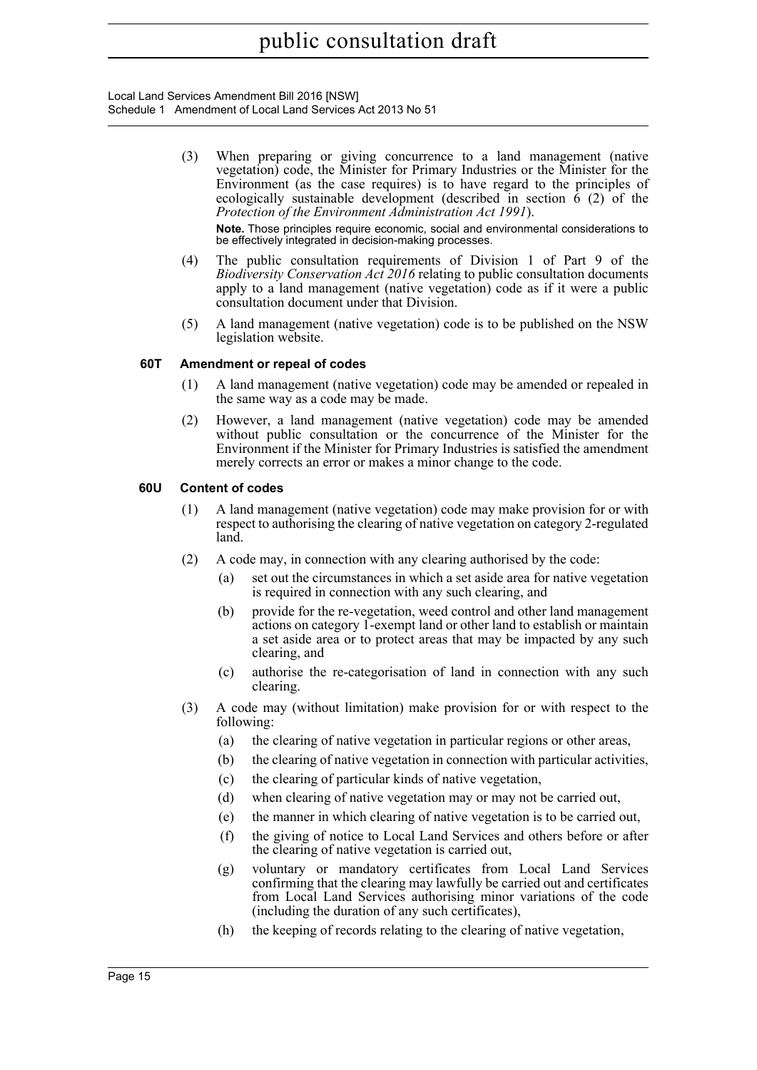Local Land Services Amendment Bill 2016 [NSW] Schedule 1 Amendment of Local Land Services Act 2013 No 51

- (3) When preparing or giving concurrence to a land management (native vegetation) code, the Minister for Primary Industries or the Minister for the Environment (as the case requires) is to have regard to the principles of ecologically sustainable development (described in section  $\hat{6}$  (2) of the *Protection of the Environment Administration Act 1991*). **Note.** Those principles require economic, social and environmental considerations to be effectively integrated in decision-making processes.
- (4) The public consultation requirements of Division 1 of Part 9 of the *Biodiversity Conservation Act 2016* relating to public consultation documents apply to a land management (native vegetation) code as if it were a public consultation document under that Division.
- (5) A land management (native vegetation) code is to be published on the NSW legislation website.

## **60T Amendment or repeal of codes**

- (1) A land management (native vegetation) code may be amended or repealed in the same way as a code may be made.
- (2) However, a land management (native vegetation) code may be amended without public consultation or the concurrence of the Minister for the Environment if the Minister for Primary Industries is satisfied the amendment merely corrects an error or makes a minor change to the code.

### **60U Content of codes**

- (1) A land management (native vegetation) code may make provision for or with respect to authorising the clearing of native vegetation on category 2-regulated land.
- (2) A code may, in connection with any clearing authorised by the code:
	- (a) set out the circumstances in which a set aside area for native vegetation is required in connection with any such clearing, and
	- (b) provide for the re-vegetation, weed control and other land management actions on category 1-exempt land or other land to establish or maintain a set aside area or to protect areas that may be impacted by any such clearing, and
	- (c) authorise the re-categorisation of land in connection with any such clearing.
- (3) A code may (without limitation) make provision for or with respect to the following:
	- (a) the clearing of native vegetation in particular regions or other areas,
	- (b) the clearing of native vegetation in connection with particular activities,
	- (c) the clearing of particular kinds of native vegetation,
	- (d) when clearing of native vegetation may or may not be carried out,
	- (e) the manner in which clearing of native vegetation is to be carried out,
	- (f) the giving of notice to Local Land Services and others before or after the clearing of native vegetation is carried out,
	- (g) voluntary or mandatory certificates from Local Land Services confirming that the clearing may lawfully be carried out and certificates from Local Land Services authorising minor variations of the code (including the duration of any such certificates),
	- (h) the keeping of records relating to the clearing of native vegetation,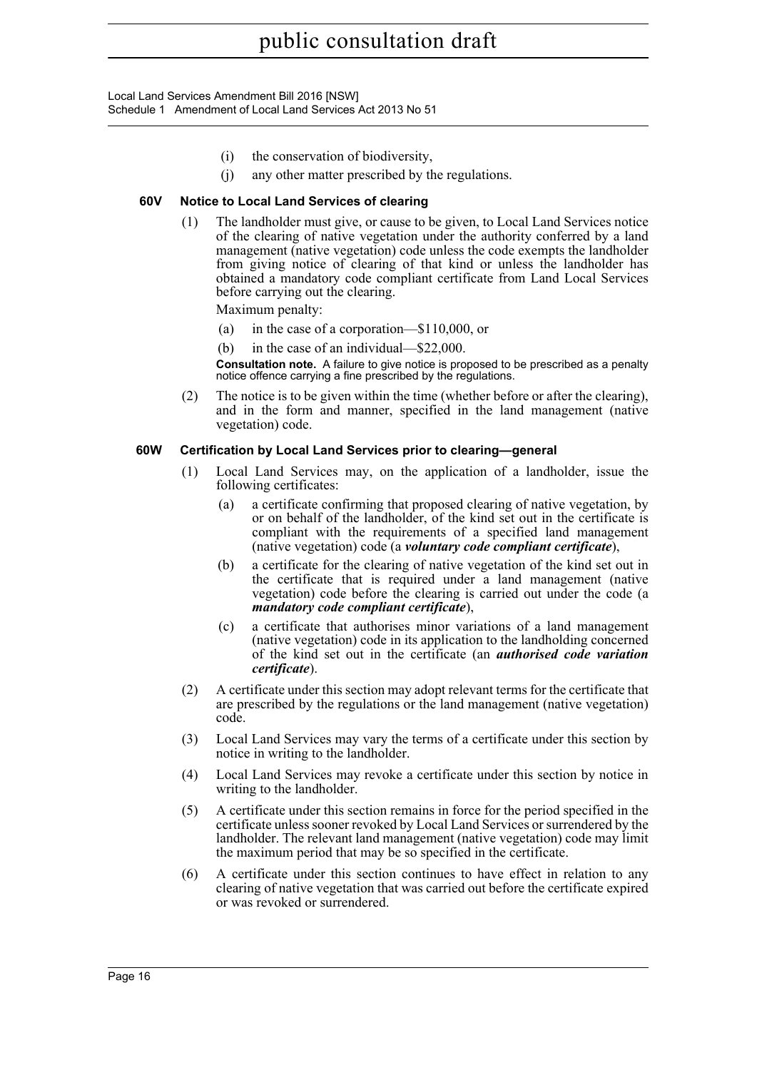Local Land Services Amendment Bill 2016 [NSW] Schedule 1 Amendment of Local Land Services Act 2013 No 51

- (i) the conservation of biodiversity,
- (j) any other matter prescribed by the regulations.

## **60V Notice to Local Land Services of clearing**

(1) The landholder must give, or cause to be given, to Local Land Services notice of the clearing of native vegetation under the authority conferred by a land management (native vegetation) code unless the code exempts the landholder from giving notice of clearing of that kind or unless the landholder has obtained a mandatory code compliant certificate from Land Local Services before carrying out the clearing.

Maximum penalty:

- (a) in the case of a corporation—\$110,000, or
- (b) in the case of an individual—\$22,000.

**Consultation note.** A failure to give notice is proposed to be prescribed as a penalty notice offence carrying a fine prescribed by the regulations.

(2) The notice is to be given within the time (whether before or after the clearing), and in the form and manner, specified in the land management (native vegetation) code.

### **60W Certification by Local Land Services prior to clearing—general**

- (1) Local Land Services may, on the application of a landholder, issue the following certificates:
	- (a) a certificate confirming that proposed clearing of native vegetation, by or on behalf of the landholder, of the kind set out in the certificate is compliant with the requirements of a specified land management (native vegetation) code (a *voluntary code compliant certificate*),
	- (b) a certificate for the clearing of native vegetation of the kind set out in the certificate that is required under a land management (native vegetation) code before the clearing is carried out under the code (a *mandatory code compliant certificate*),
	- (c) a certificate that authorises minor variations of a land management (native vegetation) code in its application to the landholding concerned of the kind set out in the certificate (an *authorised code variation certificate*).
- (2) A certificate under this section may adopt relevant terms for the certificate that are prescribed by the regulations or the land management (native vegetation) code.
- (3) Local Land Services may vary the terms of a certificate under this section by notice in writing to the landholder.
- (4) Local Land Services may revoke a certificate under this section by notice in writing to the landholder.
- (5) A certificate under this section remains in force for the period specified in the certificate unless sooner revoked by Local Land Services or surrendered by the landholder. The relevant land management (native vegetation) code may limit the maximum period that may be so specified in the certificate.
- (6) A certificate under this section continues to have effect in relation to any clearing of native vegetation that was carried out before the certificate expired or was revoked or surrendered.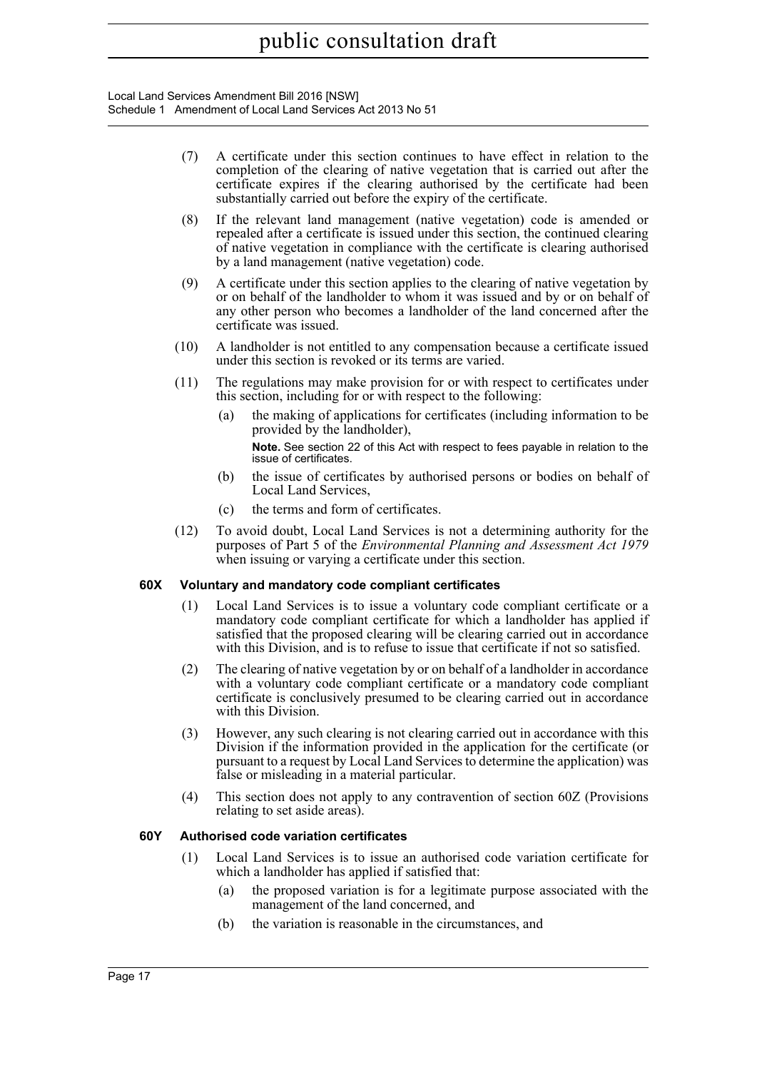Local Land Services Amendment Bill 2016 [NSW] Schedule 1 Amendment of Local Land Services Act 2013 No 51

- (7) A certificate under this section continues to have effect in relation to the completion of the clearing of native vegetation that is carried out after the certificate expires if the clearing authorised by the certificate had been substantially carried out before the expiry of the certificate.
- (8) If the relevant land management (native vegetation) code is amended or repealed after a certificate is issued under this section, the continued clearing of native vegetation in compliance with the certificate is clearing authorised by a land management (native vegetation) code.
- (9) A certificate under this section applies to the clearing of native vegetation by or on behalf of the landholder to whom it was issued and by or on behalf of any other person who becomes a landholder of the land concerned after the certificate was issued.
- (10) A landholder is not entitled to any compensation because a certificate issued under this section is revoked or its terms are varied.
- (11) The regulations may make provision for or with respect to certificates under this section, including for or with respect to the following:
	- (a) the making of applications for certificates (including information to be provided by the landholder),

**Note.** See section 22 of this Act with respect to fees payable in relation to the issue of certificates.

- (b) the issue of certificates by authorised persons or bodies on behalf of Local Land Services,
- (c) the terms and form of certificates.
- (12) To avoid doubt, Local Land Services is not a determining authority for the purposes of Part 5 of the *Environmental Planning and Assessment Act 1979* when issuing or varying a certificate under this section.

## **60X Voluntary and mandatory code compliant certificates**

- (1) Local Land Services is to issue a voluntary code compliant certificate or a mandatory code compliant certificate for which a landholder has applied if satisfied that the proposed clearing will be clearing carried out in accordance with this Division, and is to refuse to issue that certificate if not so satisfied.
- (2) The clearing of native vegetation by or on behalf of a landholder in accordance with a voluntary code compliant certificate or a mandatory code compliant certificate is conclusively presumed to be clearing carried out in accordance with this Division.
- (3) However, any such clearing is not clearing carried out in accordance with this Division if the information provided in the application for the certificate (or pursuant to a request by Local Land Services to determine the application) was false or misleading in a material particular.
- (4) This section does not apply to any contravention of section 60Z (Provisions relating to set aside areas).

## **60Y Authorised code variation certificates**

- (1) Local Land Services is to issue an authorised code variation certificate for which a landholder has applied if satisfied that:
	- (a) the proposed variation is for a legitimate purpose associated with the management of the land concerned, and
	- (b) the variation is reasonable in the circumstances, and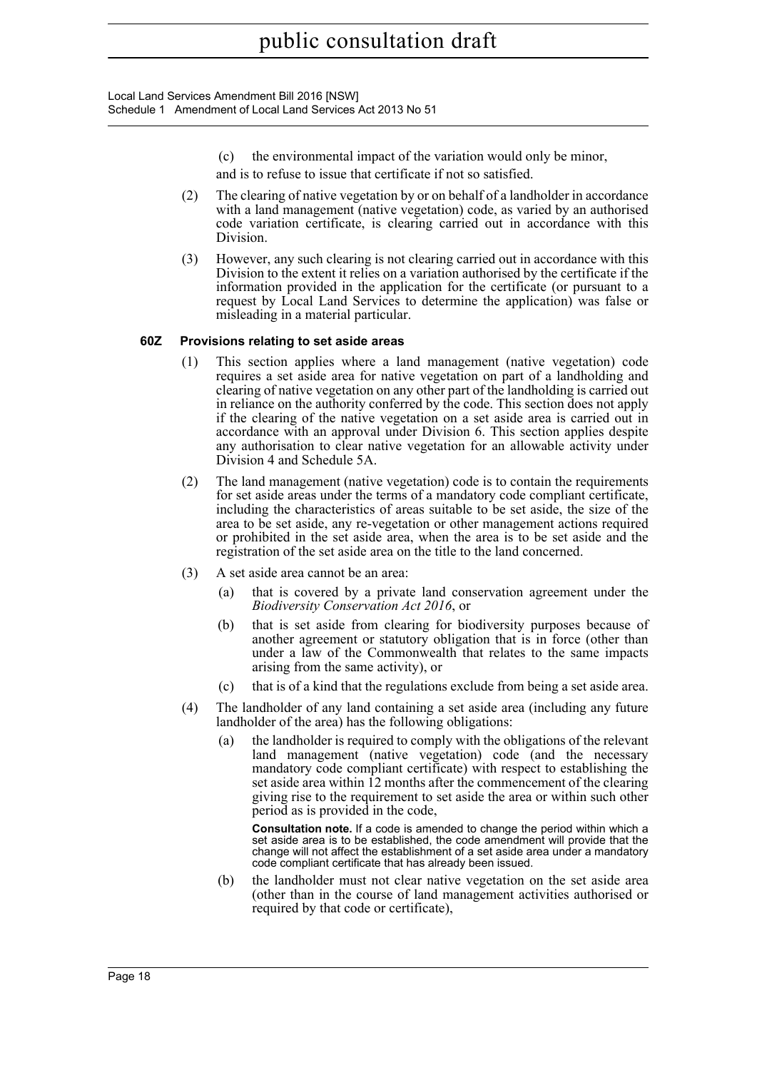- (c) the environmental impact of the variation would only be minor,
- and is to refuse to issue that certificate if not so satisfied.
- (2) The clearing of native vegetation by or on behalf of a landholder in accordance with a land management (native vegetation) code, as varied by an authorised code variation certificate, is clearing carried out in accordance with this Division.
- (3) However, any such clearing is not clearing carried out in accordance with this Division to the extent it relies on a variation authorised by the certificate if the information provided in the application for the certificate (or pursuant to a request by Local Land Services to determine the application) was false or misleading in a material particular.

## **60Z Provisions relating to set aside areas**

- (1) This section applies where a land management (native vegetation) code requires a set aside area for native vegetation on part of a landholding and clearing of native vegetation on any other part of the landholding is carried out in reliance on the authority conferred by the code. This section does not apply if the clearing of the native vegetation on a set aside area is carried out in accordance with an approval under Division 6. This section applies despite any authorisation to clear native vegetation for an allowable activity under Division 4 and Schedule 5A.
- (2) The land management (native vegetation) code is to contain the requirements for set aside areas under the terms of a mandatory code compliant certificate, including the characteristics of areas suitable to be set aside, the size of the area to be set aside, any re-vegetation or other management actions required or prohibited in the set aside area, when the area is to be set aside and the registration of the set aside area on the title to the land concerned.
- (3) A set aside area cannot be an area:
	- (a) that is covered by a private land conservation agreement under the *Biodiversity Conservation Act 2016*, or
	- (b) that is set aside from clearing for biodiversity purposes because of another agreement or statutory obligation that is in force (other than under a law of the Commonwealth that relates to the same impacts arising from the same activity), or
	- (c) that is of a kind that the regulations exclude from being a set aside area.
- (4) The landholder of any land containing a set aside area (including any future landholder of the area) has the following obligations:
	- (a) the landholder is required to comply with the obligations of the relevant land management (native vegetation) code (and the necessary mandatory code compliant certificate) with respect to establishing the set aside area within  $\overline{12}$  months after the commencement of the clearing giving rise to the requirement to set aside the area or within such other period as is provided in the code,

**Consultation note.** If a code is amended to change the period within which a set aside area is to be established, the code amendment will provide that the change will not affect the establishment of a set aside area under a mandatory code compliant certificate that has already been issued.

(b) the landholder must not clear native vegetation on the set aside area (other than in the course of land management activities authorised or required by that code or certificate),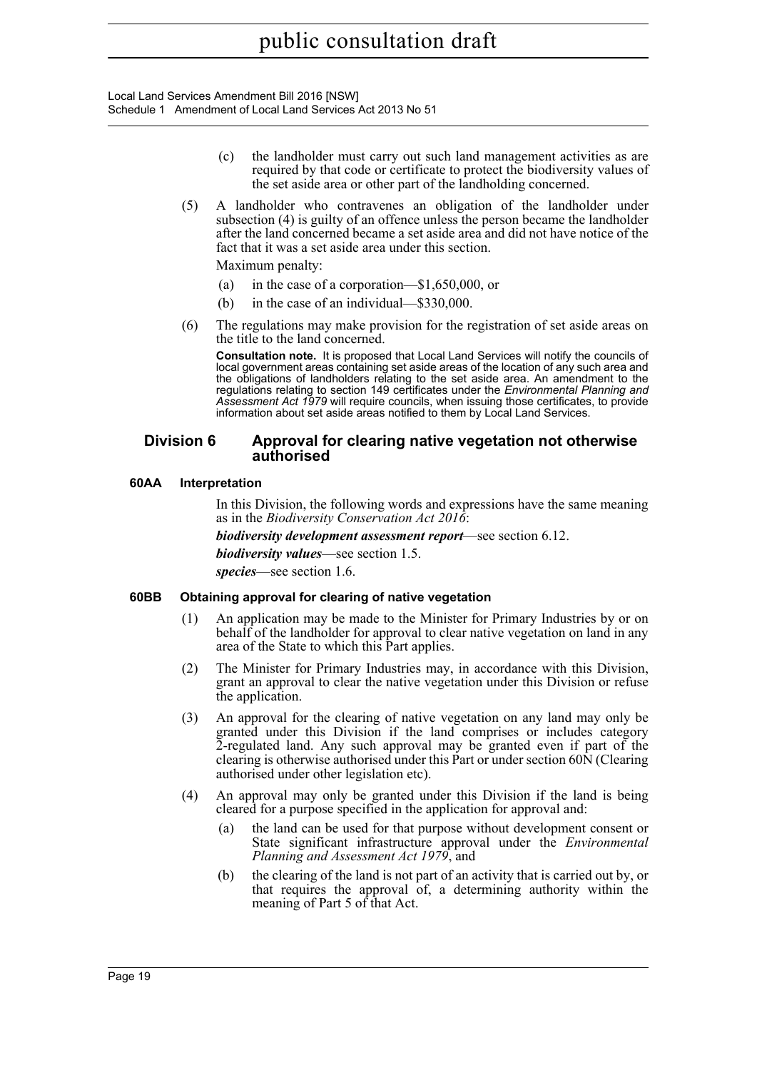- (c) the landholder must carry out such land management activities as are required by that code or certificate to protect the biodiversity values of the set aside area or other part of the landholding concerned.
- (5) A landholder who contravenes an obligation of the landholder under subsection (4) is guilty of an offence unless the person became the landholder after the land concerned became a set aside area and did not have notice of the fact that it was a set aside area under this section.

Maximum penalty:

- (a) in the case of a corporation—\$1,650,000, or
- (b) in the case of an individual—\$330,000.
- (6) The regulations may make provision for the registration of set aside areas on the title to the land concerned.

**Consultation note.** It is proposed that Local Land Services will notify the councils of local government areas containing set aside areas of the location of any such area and the obligations of landholders relating to the set aside area. An amendment to the regulations relating to section 149 certificates under the *Environmental Planning and Assessment Act 1979* will require councils, when issuing those certificates, to provide information about set aside areas notified to them by Local Land Services.

# **Division 6 Approval for clearing native vegetation not otherwise authorised**

# **60AA Interpretation**

In this Division, the following words and expressions have the same meaning as in the *Biodiversity Conservation Act 2016*:

*biodiversity development assessment report*—see section 6.12.

*biodiversity values*—see section 1.5.

*species*—see section 1.6.

# **60BB Obtaining approval for clearing of native vegetation**

- (1) An application may be made to the Minister for Primary Industries by or on behalf of the landholder for approval to clear native vegetation on land in any area of the State to which this Part applies.
- (2) The Minister for Primary Industries may, in accordance with this Division, grant an approval to clear the native vegetation under this Division or refuse the application.
- (3) An approval for the clearing of native vegetation on any land may only be granted under this Division if the land comprises or includes category 2-regulated land. Any such approval may be granted even if part of the clearing is otherwise authorised under this Part or under section 60N (Clearing authorised under other legislation etc).
- (4) An approval may only be granted under this Division if the land is being cleared for a purpose specified in the application for approval and:
	- (a) the land can be used for that purpose without development consent or State significant infrastructure approval under the *Environmental Planning and Assessment Act 1979*, and
	- (b) the clearing of the land is not part of an activity that is carried out by, or that requires the approval of, a determining authority within the meaning of Part 5 of that Act.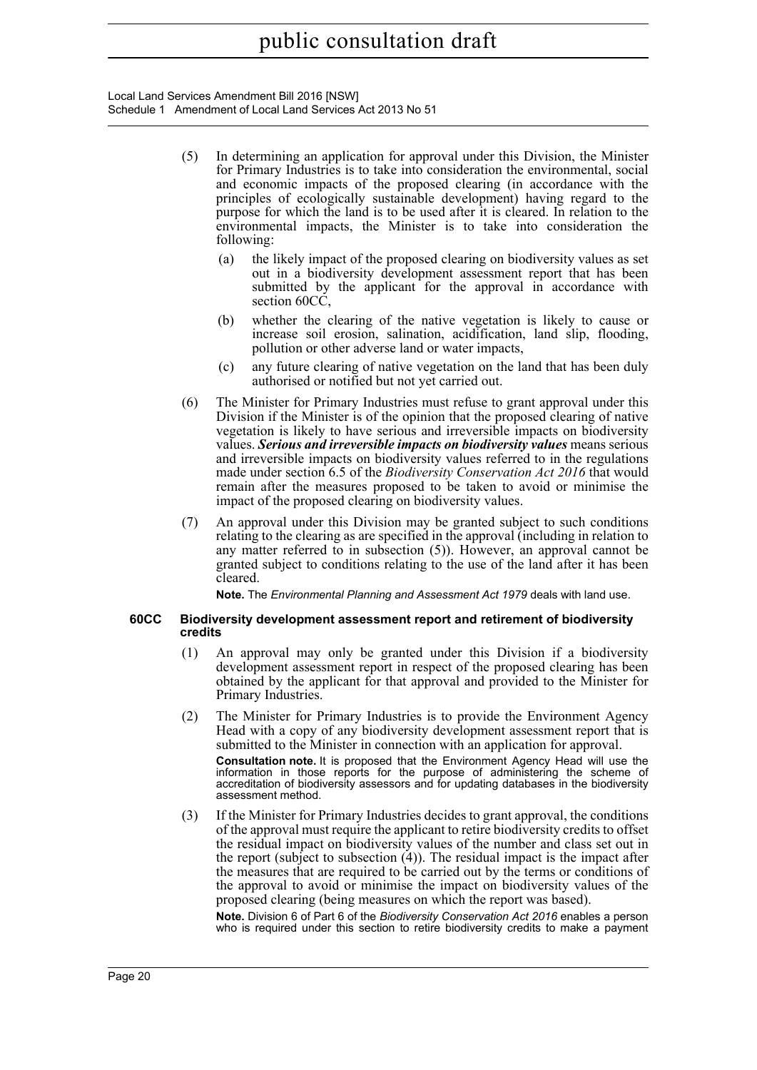Local Land Services Amendment Bill 2016 [NSW] Schedule 1 Amendment of Local Land Services Act 2013 No 51

- (5) In determining an application for approval under this Division, the Minister for Primary Industries is to take into consideration the environmental, social and economic impacts of the proposed clearing (in accordance with the principles of ecologically sustainable development) having regard to the purpose for which the land is to be used after it is cleared. In relation to the environmental impacts, the Minister is to take into consideration the following:
	- (a) the likely impact of the proposed clearing on biodiversity values as set out in a biodiversity development assessment report that has been submitted by the applicant for the approval in accordance with section 60CC,
	- (b) whether the clearing of the native vegetation is likely to cause or increase soil erosion, salination, acidification, land slip, flooding, pollution or other adverse land or water impacts,
	- (c) any future clearing of native vegetation on the land that has been duly authorised or notified but not yet carried out.
- (6) The Minister for Primary Industries must refuse to grant approval under this Division if the Minister is of the opinion that the proposed clearing of native vegetation is likely to have serious and irreversible impacts on biodiversity values. *Serious and irreversible impacts on biodiversity values* means serious and irreversible impacts on biodiversity values referred to in the regulations made under section 6.5 of the *Biodiversity Conservation Act 2016* that would remain after the measures proposed to be taken to avoid or minimise the impact of the proposed clearing on biodiversity values.
- (7) An approval under this Division may be granted subject to such conditions relating to the clearing as are specified in the approval (including in relation to any matter referred to in subsection (5)). However, an approval cannot be granted subject to conditions relating to the use of the land after it has been cleared.

**Note.** The *Environmental Planning and Assessment Act 1979* deals with land use.

#### **60CC Biodiversity development assessment report and retirement of biodiversity credits**

- (1) An approval may only be granted under this Division if a biodiversity development assessment report in respect of the proposed clearing has been obtained by the applicant for that approval and provided to the Minister for Primary Industries.
- (2) The Minister for Primary Industries is to provide the Environment Agency Head with a copy of any biodiversity development assessment report that is submitted to the Minister in connection with an application for approval. **Consultation note.** It is proposed that the Environment Agency Head will use the information in those reports for the purpose of administering the scheme of accreditation of biodiversity assessors and for updating databases in the biodiversity assessment method.
- (3) If the Minister for Primary Industries decides to grant approval, the conditions of the approval must require the applicant to retire biodiversity credits to offset the residual impact on biodiversity values of the number and class set out in the report (subject to subsection (4)). The residual impact is the impact after the measures that are required to be carried out by the terms or conditions of the approval to avoid or minimise the impact on biodiversity values of the proposed clearing (being measures on which the report was based).

**Note.** Division 6 of Part 6 of the *Biodiversity Conservation Act 2016* enables a person who is required under this section to retire biodiversity credits to make a payment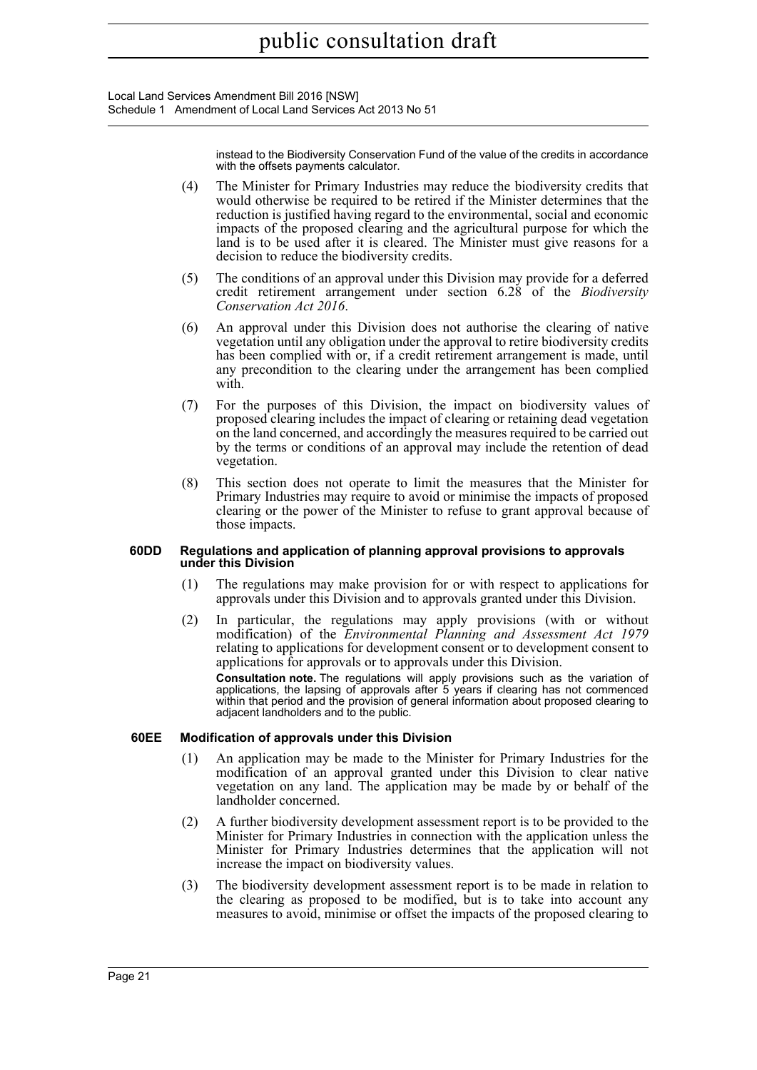Local Land Services Amendment Bill 2016 [NSW] Schedule 1 Amendment of Local Land Services Act 2013 No 51

> instead to the Biodiversity Conservation Fund of the value of the credits in accordance with the offsets payments calculator.

- (4) The Minister for Primary Industries may reduce the biodiversity credits that would otherwise be required to be retired if the Minister determines that the reduction is justified having regard to the environmental, social and economic impacts of the proposed clearing and the agricultural purpose for which the land is to be used after it is cleared. The Minister must give reasons for a decision to reduce the biodiversity credits.
- (5) The conditions of an approval under this Division may provide for a deferred credit retirement arrangement under section 6.28 of the *Biodiversity Conservation Act 2016*.
- (6) An approval under this Division does not authorise the clearing of native vegetation until any obligation under the approval to retire biodiversity credits has been complied with or, if a credit retirement arrangement is made, until any precondition to the clearing under the arrangement has been complied with.
- (7) For the purposes of this Division, the impact on biodiversity values of proposed clearing includes the impact of clearing or retaining dead vegetation on the land concerned, and accordingly the measures required to be carried out by the terms or conditions of an approval may include the retention of dead vegetation.
- (8) This section does not operate to limit the measures that the Minister for Primary Industries may require to avoid or minimise the impacts of proposed clearing or the power of the Minister to refuse to grant approval because of those impacts.

#### **60DD Regulations and application of planning approval provisions to approvals under this Division**

- (1) The regulations may make provision for or with respect to applications for approvals under this Division and to approvals granted under this Division.
- (2) In particular, the regulations may apply provisions (with or without modification) of the *Environmental Planning and Assessment Act 1979* relating to applications for development consent or to development consent to applications for approvals or to approvals under this Division. **Consultation note.** The regulations will apply provisions such as the variation of applications, the lapsing of approvals after 5 years if clearing has not commenced within that period and the provision of general information about proposed clearing to adjacent landholders and to the public.

#### **60EE Modification of approvals under this Division**

- (1) An application may be made to the Minister for Primary Industries for the modification of an approval granted under this Division to clear native vegetation on any land. The application may be made by or behalf of the landholder concerned.
- (2) A further biodiversity development assessment report is to be provided to the Minister for Primary Industries in connection with the application unless the Minister for Primary Industries determines that the application will not increase the impact on biodiversity values.
- (3) The biodiversity development assessment report is to be made in relation to the clearing as proposed to be modified, but is to take into account any measures to avoid, minimise or offset the impacts of the proposed clearing to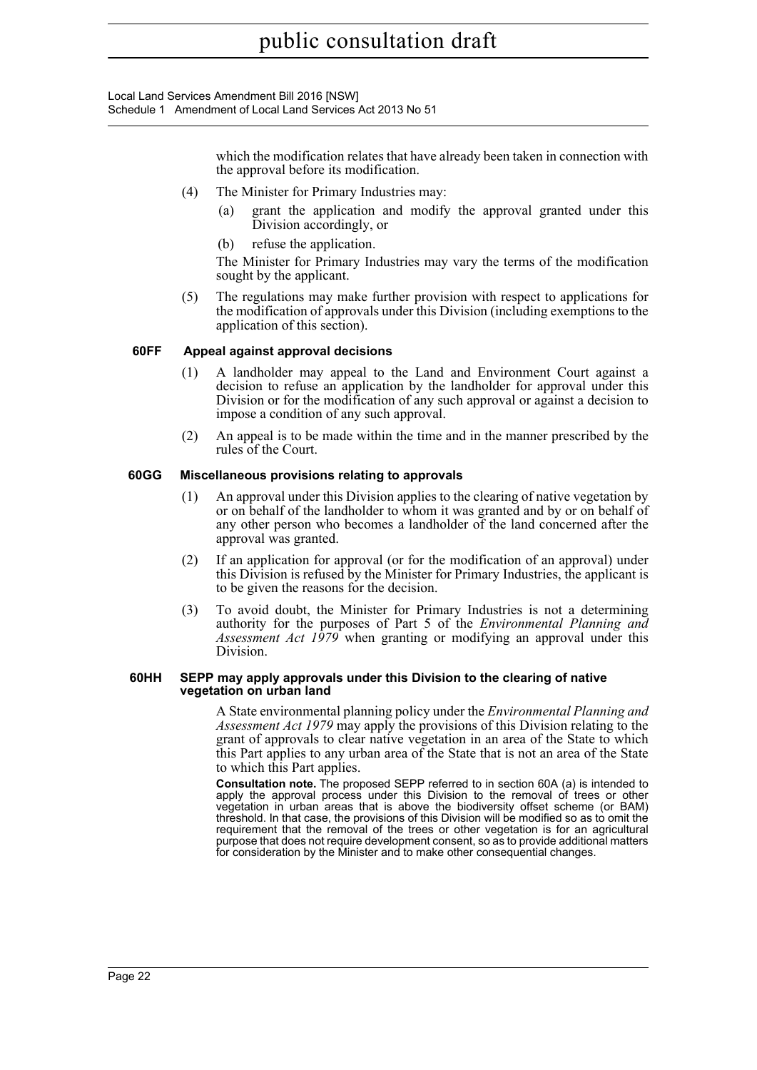Local Land Services Amendment Bill 2016 [NSW] Schedule 1 Amendment of Local Land Services Act 2013 No 51

> which the modification relates that have already been taken in connection with the approval before its modification.

- (4) The Minister for Primary Industries may:
	- (a) grant the application and modify the approval granted under this Division accordingly, or
	- (b) refuse the application.

The Minister for Primary Industries may vary the terms of the modification sought by the applicant.

(5) The regulations may make further provision with respect to applications for the modification of approvals under this Division (including exemptions to the application of this section).

### **60FF Appeal against approval decisions**

- (1) A landholder may appeal to the Land and Environment Court against a decision to refuse an application by the landholder for approval under this Division or for the modification of any such approval or against a decision to impose a condition of any such approval.
- (2) An appeal is to be made within the time and in the manner prescribed by the rules of the Court.

#### **60GG Miscellaneous provisions relating to approvals**

- (1) An approval under this Division applies to the clearing of native vegetation by or on behalf of the landholder to whom it was granted and by or on behalf of any other person who becomes a landholder of the land concerned after the approval was granted.
- (2) If an application for approval (or for the modification of an approval) under this Division is refused by the Minister for Primary Industries, the applicant is to be given the reasons for the decision.
- (3) To avoid doubt, the Minister for Primary Industries is not a determining authority for the purposes of Part 5 of the *Environmental Planning and Assessment Act 1979* when granting or modifying an approval under this Division.

#### **60HH SEPP may apply approvals under this Division to the clearing of native vegetation on urban land**

A State environmental planning policy under the *Environmental Planning and Assessment Act 1979* may apply the provisions of this Division relating to the grant of approvals to clear native vegetation in an area of the State to which this Part applies to any urban area of the State that is not an area of the State to which this Part applies.

**Consultation note.** The proposed SEPP referred to in section 60A (a) is intended to apply the approval process under this Division to the removal of trees or other vegetation in urban areas that is above the biodiversity offset scheme (or BAM) threshold. In that case, the provisions of this Division will be modified so as to omit the requirement that the removal of the trees or other vegetation is for an agricultural purpose that does not require development consent, so as to provide additional matters for consideration by the Minister and to make other consequential changes.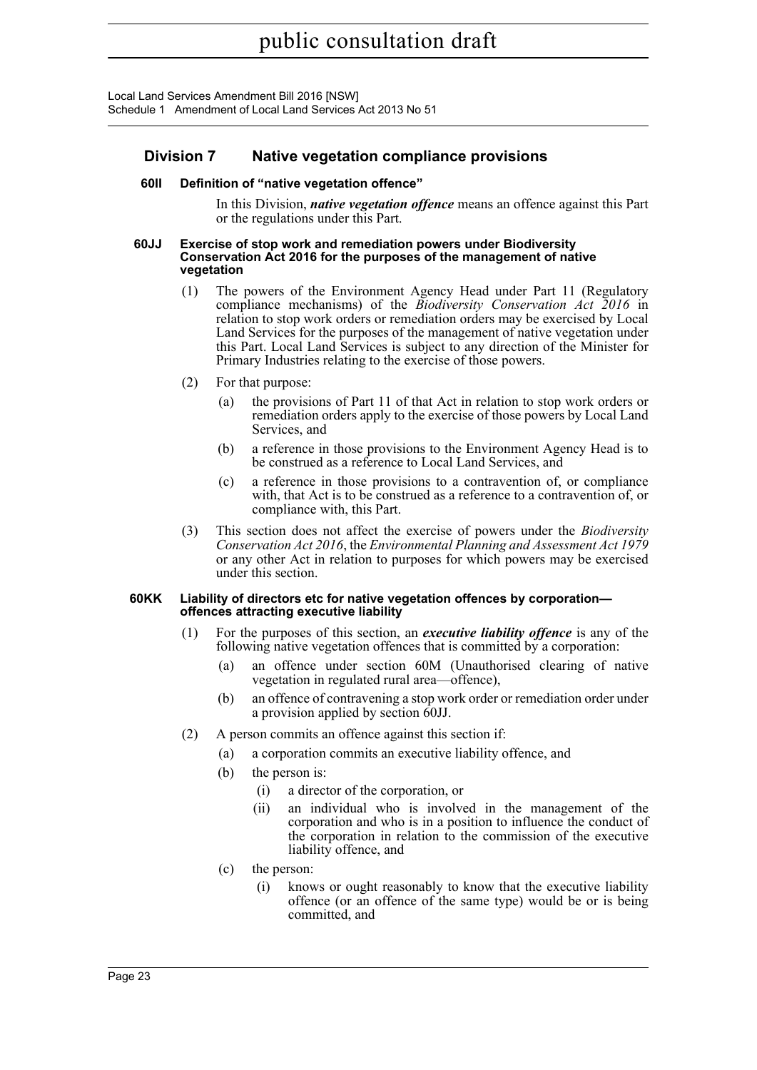# **Division 7 Native vegetation compliance provisions**

## **60II Definition of "native vegetation offence"**

In this Division, *native vegetation offence* means an offence against this Part or the regulations under this Part.

#### **60JJ Exercise of stop work and remediation powers under Biodiversity Conservation Act 2016 for the purposes of the management of native vegetation**

- (1) The powers of the Environment Agency Head under Part 11 (Regulatory compliance mechanisms) of the *Biodiversity Conservation Act 2016* in relation to stop work orders or remediation orders may be exercised by Local Land Services for the purposes of the management of native vegetation under this Part. Local Land Services is subject to any direction of the Minister for Primary Industries relating to the exercise of those powers.
- (2) For that purpose:
	- (a) the provisions of Part 11 of that Act in relation to stop work orders or remediation orders apply to the exercise of those powers by Local Land Services, and
	- (b) a reference in those provisions to the Environment Agency Head is to be construed as a reference to Local Land Services, and
	- (c) a reference in those provisions to a contravention of, or compliance with, that Act is to be construed as a reference to a contravention of, or compliance with, this Part.
- (3) This section does not affect the exercise of powers under the *Biodiversity Conservation Act 2016*, the *Environmental Planning and Assessment Act 1979* or any other Act in relation to purposes for which powers may be exercised under this section.

#### **60KK Liability of directors etc for native vegetation offences by corporation offences attracting executive liability**

- (1) For the purposes of this section, an *executive liability offence* is any of the following native vegetation offences that is committed by a corporation:
	- (a) an offence under section 60M (Unauthorised clearing of native vegetation in regulated rural area—offence),
	- (b) an offence of contravening a stop work order or remediation order under a provision applied by section 60JJ.
- (2) A person commits an offence against this section if:
	- (a) a corporation commits an executive liability offence, and
	- (b) the person is:
		- (i) a director of the corporation, or
		- (ii) an individual who is involved in the management of the corporation and who is in a position to influence the conduct of the corporation in relation to the commission of the executive liability offence, and
	- (c) the person:
		- (i) knows or ought reasonably to know that the executive liability offence (or an offence of the same type) would be or is being committed, and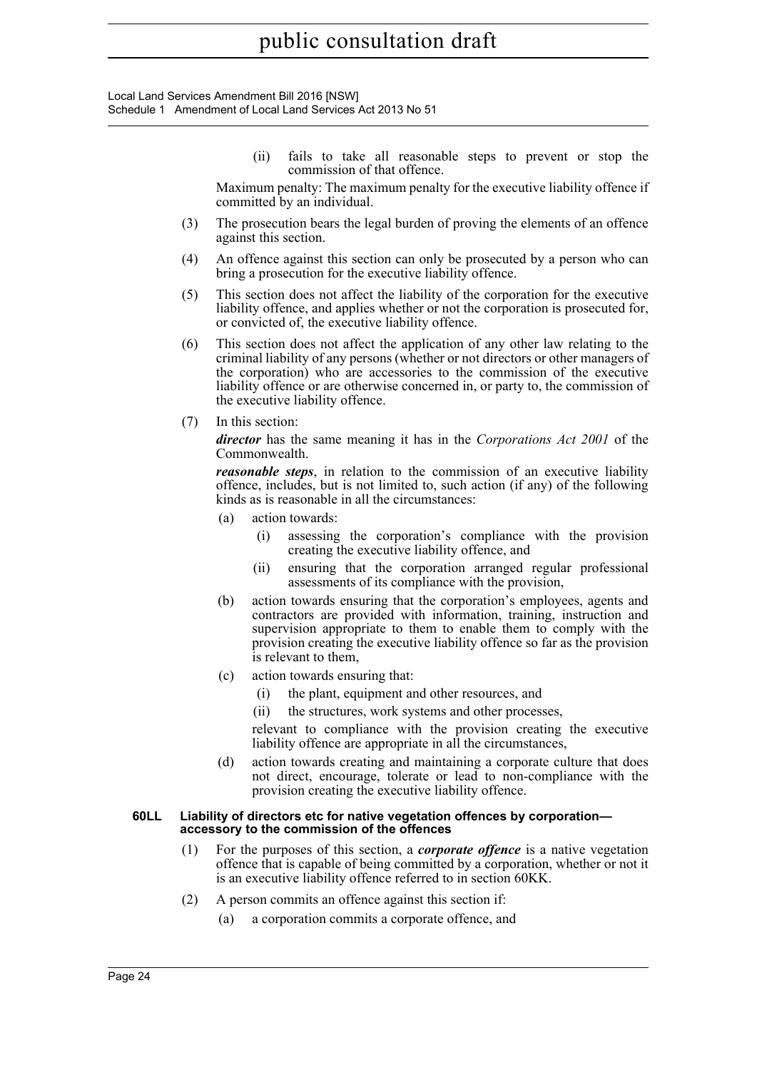Local Land Services Amendment Bill 2016 [NSW] Schedule 1 Amendment of Local Land Services Act 2013 No 51

> (ii) fails to take all reasonable steps to prevent or stop the commission of that offence.

Maximum penalty: The maximum penalty for the executive liability offence if committed by an individual.

- (3) The prosecution bears the legal burden of proving the elements of an offence against this section.
- (4) An offence against this section can only be prosecuted by a person who can bring a prosecution for the executive liability offence.
- (5) This section does not affect the liability of the corporation for the executive liability offence, and applies whether or not the corporation is prosecuted for, or convicted of, the executive liability offence.
- (6) This section does not affect the application of any other law relating to the criminal liability of any persons (whether or not directors or other managers of the corporation) who are accessories to the commission of the executive liability offence or are otherwise concerned in, or party to, the commission of the executive liability offence.
- (7) In this section:

*director* has the same meaning it has in the *Corporations Act 2001* of the Commonwealth.

*reasonable steps*, in relation to the commission of an executive liability offence, includes, but is not limited to, such action (if any) of the following kinds as is reasonable in all the circumstances:

- (a) action towards:
	- (i) assessing the corporation's compliance with the provision creating the executive liability offence, and
	- (ii) ensuring that the corporation arranged regular professional assessments of its compliance with the provision,
- (b) action towards ensuring that the corporation's employees, agents and contractors are provided with information, training, instruction and supervision appropriate to them to enable them to comply with the provision creating the executive liability offence so far as the provision is relevant to them,
- (c) action towards ensuring that:
	- (i) the plant, equipment and other resources, and
	- (ii) the structures, work systems and other processes,

relevant to compliance with the provision creating the executive liability offence are appropriate in all the circumstances,

(d) action towards creating and maintaining a corporate culture that does not direct, encourage, tolerate or lead to non-compliance with the provision creating the executive liability offence.

#### **60LL Liability of directors etc for native vegetation offences by corporation accessory to the commission of the offences**

- (1) For the purposes of this section, a *corporate offence* is a native vegetation offence that is capable of being committed by a corporation, whether or not it is an executive liability offence referred to in section 60KK.
- (2) A person commits an offence against this section if:
	- (a) a corporation commits a corporate offence, and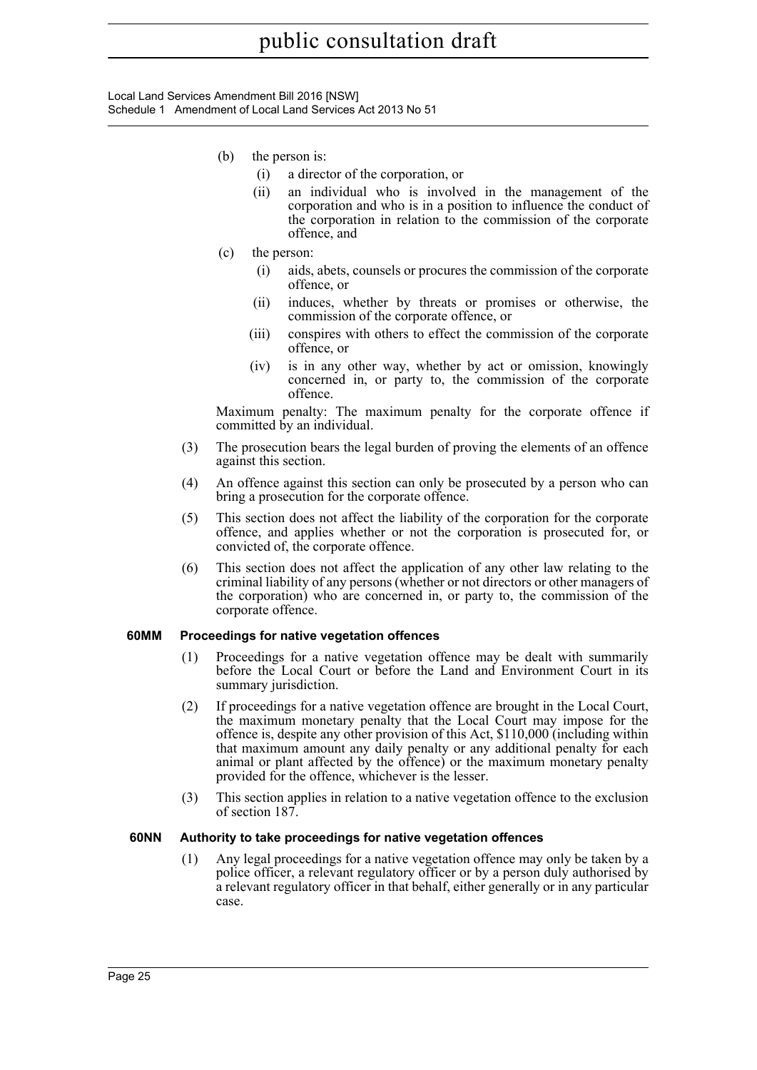- (b) the person is:
	- (i) a director of the corporation, or
	- (ii) an individual who is involved in the management of the corporation and who is in a position to influence the conduct of the corporation in relation to the commission of the corporate offence, and
- (c) the person:
	- (i) aids, abets, counsels or procures the commission of the corporate offence, or
	- (ii) induces, whether by threats or promises or otherwise, the commission of the corporate offence, or
	- (iii) conspires with others to effect the commission of the corporate offence, or
	- (iv) is in any other way, whether by act or omission, knowingly concerned in, or party to, the commission of the corporate offence.

Maximum penalty: The maximum penalty for the corporate offence if committed by an individual.

- (3) The prosecution bears the legal burden of proving the elements of an offence against this section.
- (4) An offence against this section can only be prosecuted by a person who can bring a prosecution for the corporate offence.
- (5) This section does not affect the liability of the corporation for the corporate offence, and applies whether or not the corporation is prosecuted for, or convicted of, the corporate offence.
- (6) This section does not affect the application of any other law relating to the criminal liability of any persons (whether or not directors or other managers of the corporation) who are concerned in, or party to, the commission of the corporate offence.

## **60MM Proceedings for native vegetation offences**

- (1) Proceedings for a native vegetation offence may be dealt with summarily before the Local Court or before the Land and Environment Court in its summary jurisdiction.
- (2) If proceedings for a native vegetation offence are brought in the Local Court, the maximum monetary penalty that the Local Court may impose for the offence is, despite any other provision of this Act, \$110,000 (including within that maximum amount any daily penalty or any additional penalty for each animal or plant affected by the offence) or the maximum monetary penalty provided for the offence, whichever is the lesser.
- (3) This section applies in relation to a native vegetation offence to the exclusion of section 187.

## **60NN Authority to take proceedings for native vegetation offences**

(1) Any legal proceedings for a native vegetation offence may only be taken by a police officer, a relevant regulatory officer or by a person duly authorised by a relevant regulatory officer in that behalf, either generally or in any particular case.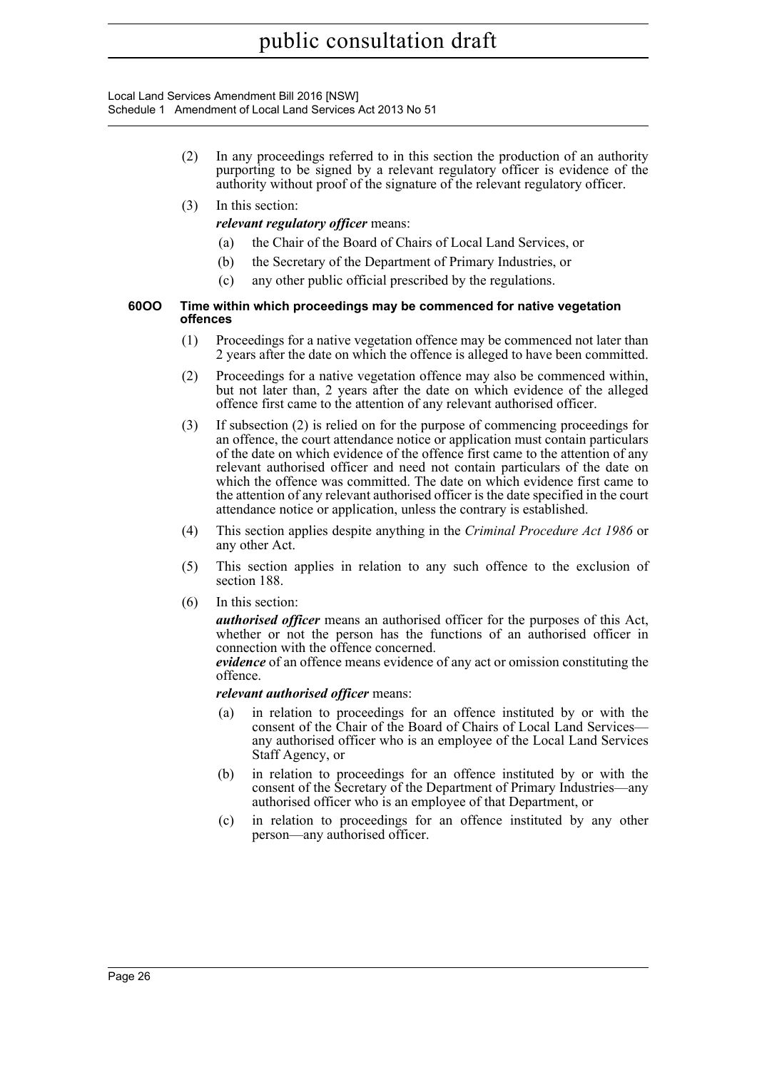Local Land Services Amendment Bill 2016 [NSW] Schedule 1 Amendment of Local Land Services Act 2013 No 51

- (2) In any proceedings referred to in this section the production of an authority purporting to be signed by a relevant regulatory officer is evidence of the authority without proof of the signature of the relevant regulatory officer.
- (3) In this section:

*relevant regulatory officer* means:

- (a) the Chair of the Board of Chairs of Local Land Services, or
- (b) the Secretary of the Department of Primary Industries, or
- (c) any other public official prescribed by the regulations.

#### **60OO Time within which proceedings may be commenced for native vegetation offences**

- (1) Proceedings for a native vegetation offence may be commenced not later than 2 years after the date on which the offence is alleged to have been committed.
- (2) Proceedings for a native vegetation offence may also be commenced within, but not later than, 2 years after the date on which evidence of the alleged offence first came to the attention of any relevant authorised officer.
- (3) If subsection (2) is relied on for the purpose of commencing proceedings for an offence, the court attendance notice or application must contain particulars of the date on which evidence of the offence first came to the attention of any relevant authorised officer and need not contain particulars of the date on which the offence was committed. The date on which evidence first came to the attention of any relevant authorised officer is the date specified in the court attendance notice or application, unless the contrary is established.
- (4) This section applies despite anything in the *Criminal Procedure Act 1986* or any other Act.
- (5) This section applies in relation to any such offence to the exclusion of section 188.
- (6) In this section:

*authorised officer* means an authorised officer for the purposes of this Act, whether or not the person has the functions of an authorised officer in connection with the offence concerned.

*evidence* of an offence means evidence of any act or omission constituting the offence.

#### *relevant authorised officer* means:

- (a) in relation to proceedings for an offence instituted by or with the consent of the Chair of the Board of Chairs of Local Land Services any authorised officer who is an employee of the Local Land Services Staff Agency, or
- (b) in relation to proceedings for an offence instituted by or with the consent of the Secretary of the Department of Primary Industries—any authorised officer who is an employee of that Department, or
- (c) in relation to proceedings for an offence instituted by any other person—any authorised officer.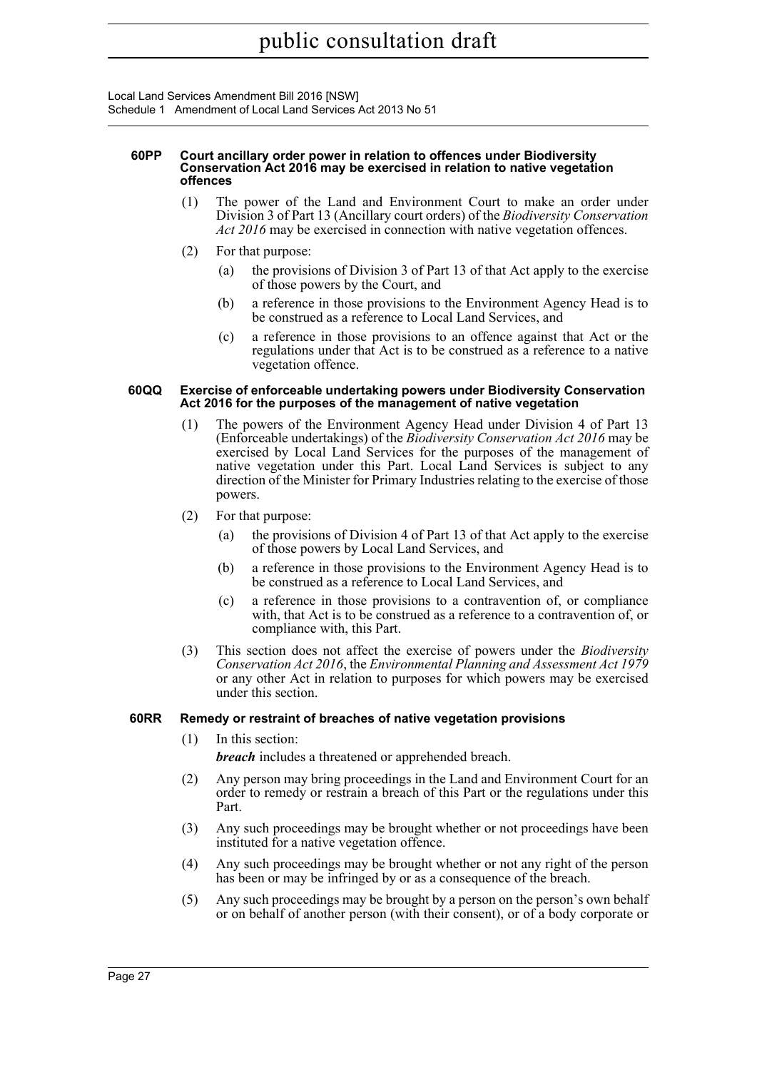Local Land Services Amendment Bill 2016 [NSW] Schedule 1 Amendment of Local Land Services Act 2013 No 51

#### **60PP Court ancillary order power in relation to offences under Biodiversity Conservation Act 2016 may be exercised in relation to native vegetation offences**

- (1) The power of the Land and Environment Court to make an order under Division 3 of Part 13 (Ancillary court orders) of the *Biodiversity Conservation Act 2016* may be exercised in connection with native vegetation offences.
- (2) For that purpose:
	- (a) the provisions of Division 3 of Part 13 of that Act apply to the exercise of those powers by the Court, and
	- (b) a reference in those provisions to the Environment Agency Head is to be construed as a reference to Local Land Services, and
	- (c) a reference in those provisions to an offence against that Act or the regulations under that Act is to be construed as a reference to a native vegetation offence.

#### **60QQ Exercise of enforceable undertaking powers under Biodiversity Conservation Act 2016 for the purposes of the management of native vegetation**

- (1) The powers of the Environment Agency Head under Division 4 of Part 13 (Enforceable undertakings) of the *Biodiversity Conservation Act 2016* may be exercised by Local Land Services for the purposes of the management of native vegetation under this Part. Local Land Services is subject to any direction of the Minister for Primary Industries relating to the exercise of those powers.
- (2) For that purpose:
	- (a) the provisions of Division 4 of Part 13 of that Act apply to the exercise of those powers by Local Land Services, and
	- (b) a reference in those provisions to the Environment Agency Head is to be construed as a reference to Local Land Services, and
	- (c) a reference in those provisions to a contravention of, or compliance with, that Act is to be construed as a reference to a contravention of, or compliance with, this Part.
- (3) This section does not affect the exercise of powers under the *Biodiversity Conservation Act 2016*, the *Environmental Planning and Assessment Act 1979* or any other Act in relation to purposes for which powers may be exercised under this section.

# **60RR Remedy or restraint of breaches of native vegetation provisions**

(1) In this section:

*breach* includes a threatened or apprehended breach.

- (2) Any person may bring proceedings in the Land and Environment Court for an order to remedy or restrain a breach of this Part or the regulations under this Part.
- (3) Any such proceedings may be brought whether or not proceedings have been instituted for a native vegetation offence.
- (4) Any such proceedings may be brought whether or not any right of the person has been or may be infringed by or as a consequence of the breach.
- (5) Any such proceedings may be brought by a person on the person's own behalf or on behalf of another person (with their consent), or of a body corporate or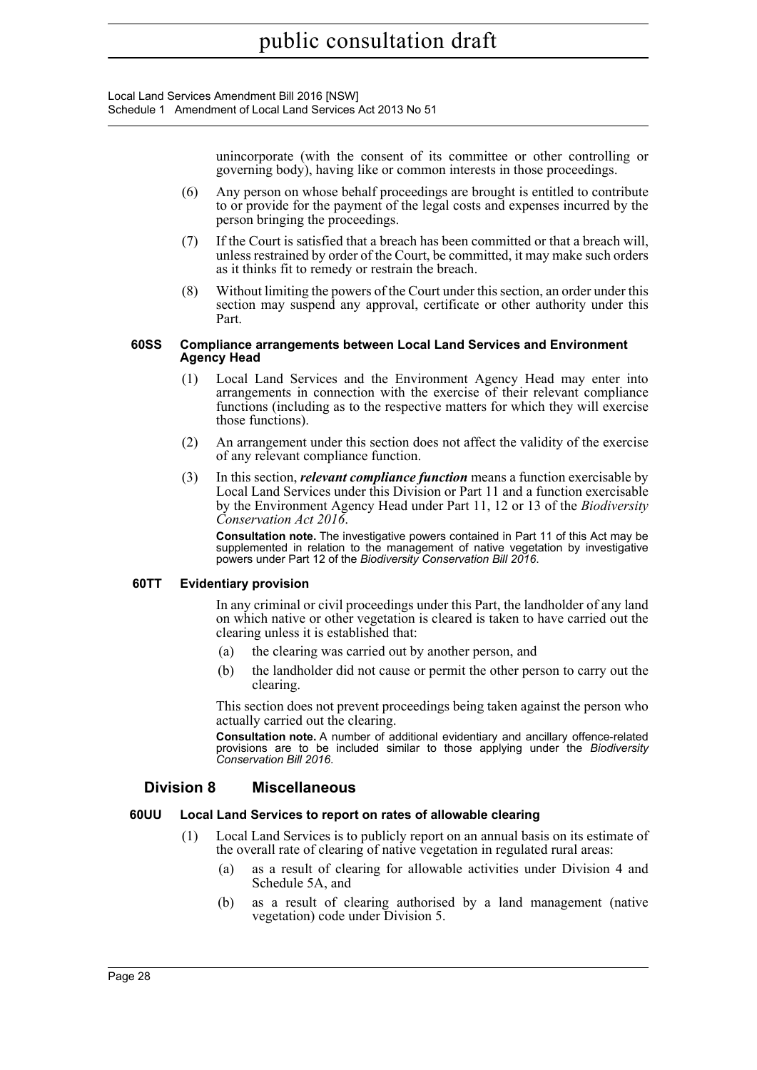> unincorporate (with the consent of its committee or other controlling or governing body), having like or common interests in those proceedings.

- (6) Any person on whose behalf proceedings are brought is entitled to contribute to or provide for the payment of the legal costs and expenses incurred by the person bringing the proceedings.
- (7) If the Court is satisfied that a breach has been committed or that a breach will, unless restrained by order of the Court, be committed, it may make such orders as it thinks fit to remedy or restrain the breach.
- (8) Without limiting the powers of the Court under this section, an order under this section may suspend any approval, certificate or other authority under this Part.

#### **60SS Compliance arrangements between Local Land Services and Environment Agency Head**

- (1) Local Land Services and the Environment Agency Head may enter into arrangements in connection with the exercise of their relevant compliance functions (including as to the respective matters for which they will exercise those functions).
- (2) An arrangement under this section does not affect the validity of the exercise of any relevant compliance function.
- (3) In this section, *relevant compliance function* means a function exercisable by Local Land Services under this Division or Part 11 and a function exercisable by the Environment Agency Head under Part 11, 12 or 13 of the *Biodiversity Conservation Act 2016*.

**Consultation note.** The investigative powers contained in Part 11 of this Act may be supplemented in relation to the management of native vegetation by investigative powers under Part 12 of the *Biodiversity Conservation Bill 2016*.

## **60TT Evidentiary provision**

In any criminal or civil proceedings under this Part, the landholder of any land on which native or other vegetation is cleared is taken to have carried out the clearing unless it is established that:

- (a) the clearing was carried out by another person, and
- (b) the landholder did not cause or permit the other person to carry out the clearing.

This section does not prevent proceedings being taken against the person who actually carried out the clearing.

**Consultation note.** A number of additional evidentiary and ancillary offence-related provisions are to be included similar to those applying under the *Biodiversity Conservation Bill 2016*.

# **Division 8 Miscellaneous**

## **60UU Local Land Services to report on rates of allowable clearing**

- (1) Local Land Services is to publicly report on an annual basis on its estimate of the overall rate of clearing of native vegetation in regulated rural areas:
	- (a) as a result of clearing for allowable activities under Division 4 and Schedule 5A, and
	- (b) as a result of clearing authorised by a land management (native vegetation) code under Division 5.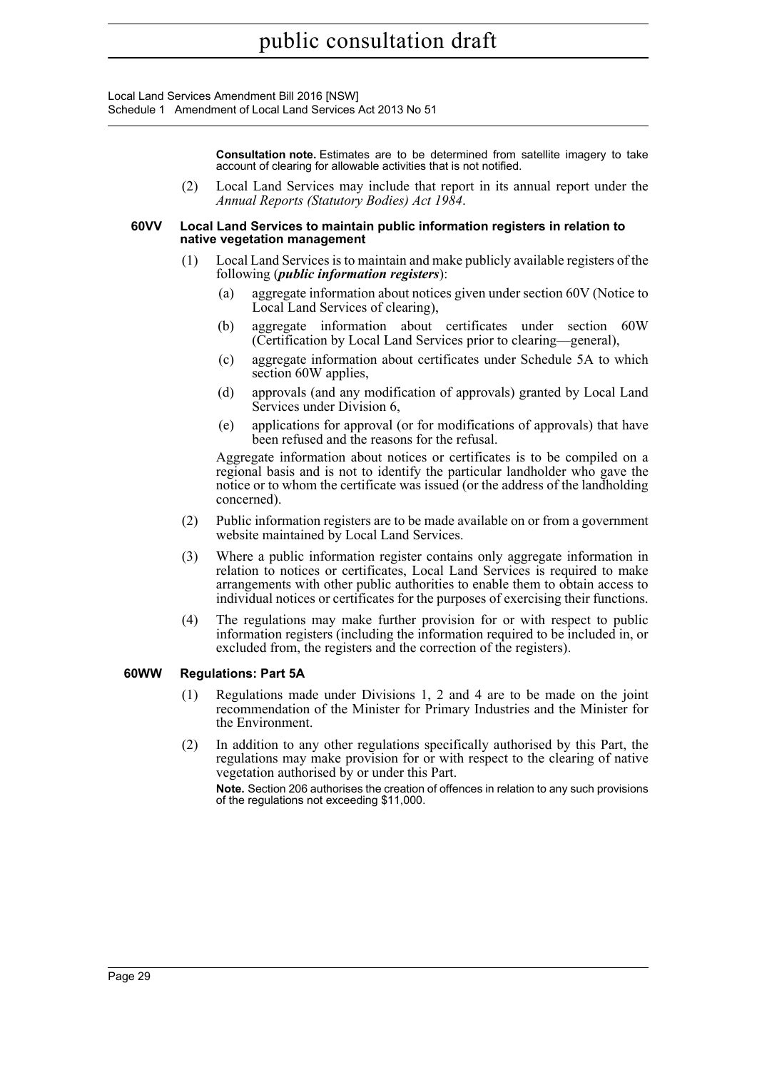Local Land Services Amendment Bill 2016 [NSW] Schedule 1 Amendment of Local Land Services Act 2013 No 51

> **Consultation note.** Estimates are to be determined from satellite imagery to take account of clearing for allowable activities that is not notified.

(2) Local Land Services may include that report in its annual report under the *Annual Reports (Statutory Bodies) Act 1984*.

#### **60VV Local Land Services to maintain public information registers in relation to native vegetation management**

- (1) Local Land Services is to maintain and make publicly available registers of the following (*public information registers*):
	- (a) aggregate information about notices given under section 60V (Notice to Local Land Services of clearing),
	- (b) aggregate information about certificates under section 60W (Certification by Local Land Services prior to clearing—general),
	- (c) aggregate information about certificates under Schedule 5A to which section 60W applies,
	- (d) approvals (and any modification of approvals) granted by Local Land Services under Division 6,
	- (e) applications for approval (or for modifications of approvals) that have been refused and the reasons for the refusal.

Aggregate information about notices or certificates is to be compiled on a regional basis and is not to identify the particular landholder who gave the notice or to whom the certificate was issued (or the address of the landholding concerned).

- (2) Public information registers are to be made available on or from a government website maintained by Local Land Services.
- (3) Where a public information register contains only aggregate information in relation to notices or certificates, Local Land Services is required to make arrangements with other public authorities to enable them to obtain access to individual notices or certificates for the purposes of exercising their functions.
- (4) The regulations may make further provision for or with respect to public information registers (including the information required to be included in, or excluded from, the registers and the correction of the registers).

## **60WW Regulations: Part 5A**

- (1) Regulations made under Divisions 1, 2 and 4 are to be made on the joint recommendation of the Minister for Primary Industries and the Minister for the Environment.
- (2) In addition to any other regulations specifically authorised by this Part, the regulations may make provision for or with respect to the clearing of native vegetation authorised by or under this Part.

**Note.** Section 206 authorises the creation of offences in relation to any such provisions of the regulations not exceeding \$11,000.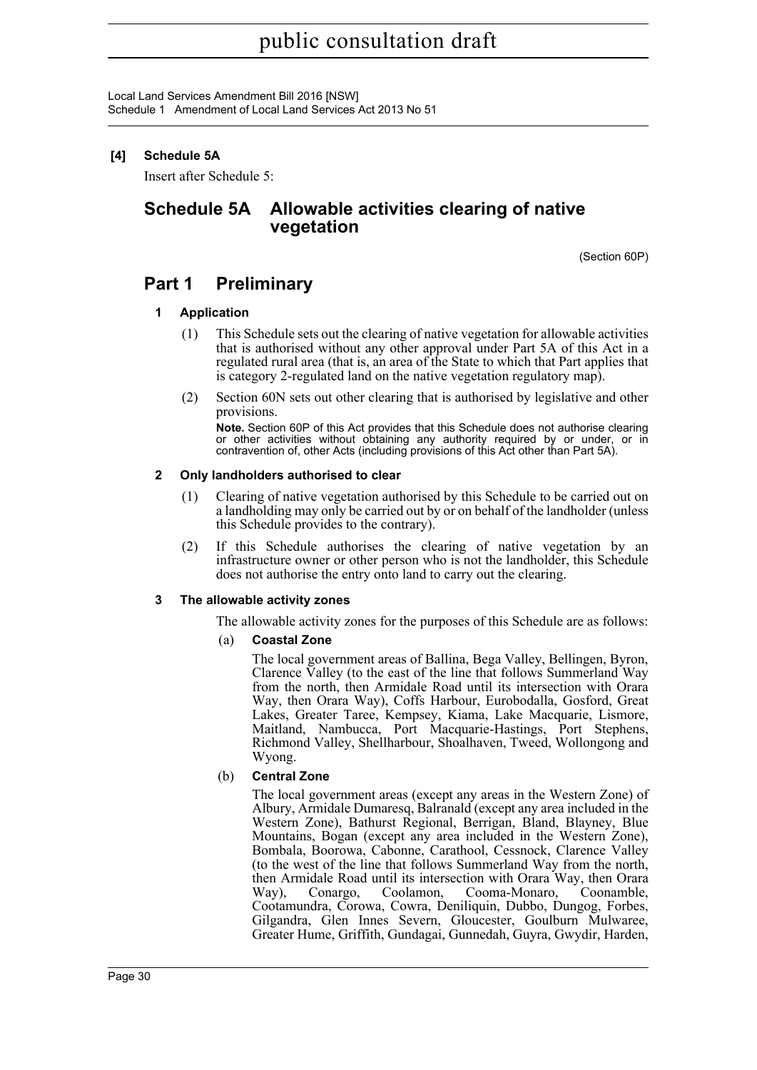# **[4] Schedule 5A**

Insert after Schedule 5:

# **Schedule 5A Allowable activities clearing of native vegetation**

(Section 60P)

# **Part 1 Preliminary**

# **1 Application**

- (1) This Schedule sets out the clearing of native vegetation for allowable activities that is authorised without any other approval under Part 5A of this Act in a regulated rural area (that is, an area of the State to which that Part applies that is category 2-regulated land on the native vegetation regulatory map).
- (2) Section 60N sets out other clearing that is authorised by legislative and other provisions.

**Note.** Section 60P of this Act provides that this Schedule does not authorise clearing or other activities without obtaining any authority required by or under, or in contravention of, other Acts (including provisions of this Act other than Part 5A).

# **2 Only landholders authorised to clear**

- (1) Clearing of native vegetation authorised by this Schedule to be carried out on a landholding may only be carried out by or on behalf of the landholder (unless this Schedule provides to the contrary).
- (2) If this Schedule authorises the clearing of native vegetation by an infrastructure owner or other person who is not the landholder, this Schedule does not authorise the entry onto land to carry out the clearing.

# **3 The allowable activity zones**

The allowable activity zones for the purposes of this Schedule are as follows:

## (a) **Coastal Zone**

The local government areas of Ballina, Bega Valley, Bellingen, Byron, Clarence Valley (to the east of the line that follows Summerland Way from the north, then Armidale Road until its intersection with Orara Way, then Orara Way), Coffs Harbour, Eurobodalla, Gosford, Great Lakes, Greater Taree, Kempsey, Kiama, Lake Macquarie, Lismore, Maitland, Nambucca, Port Macquarie-Hastings, Port Stephens, Richmond Valley, Shellharbour, Shoalhaven, Tweed, Wollongong and Wyong.

# (b) **Central Zone**

The local government areas (except any areas in the Western Zone) of Albury, Armidale Dumaresq, Balranald (except any area included in the Western Zone), Bathurst Regional, Berrigan, Bland, Blayney, Blue Mountains, Bogan (except any area included in the Western Zone), Bombala, Boorowa, Cabonne, Carathool, Cessnock, Clarence Valley (to the west of the line that follows Summerland Way from the north, then Armidale Road until its intersection with Orara Way, then Orara Way), Conargo, Coolamon, Cooma-Monaro, Coonamble, Cootamundra, Corowa, Cowra, Deniliquin, Dubbo, Dungog, Forbes, Gilgandra, Glen Innes Severn, Gloucester, Goulburn Mulwaree, Greater Hume, Griffith, Gundagai, Gunnedah, Guyra, Gwydir, Harden,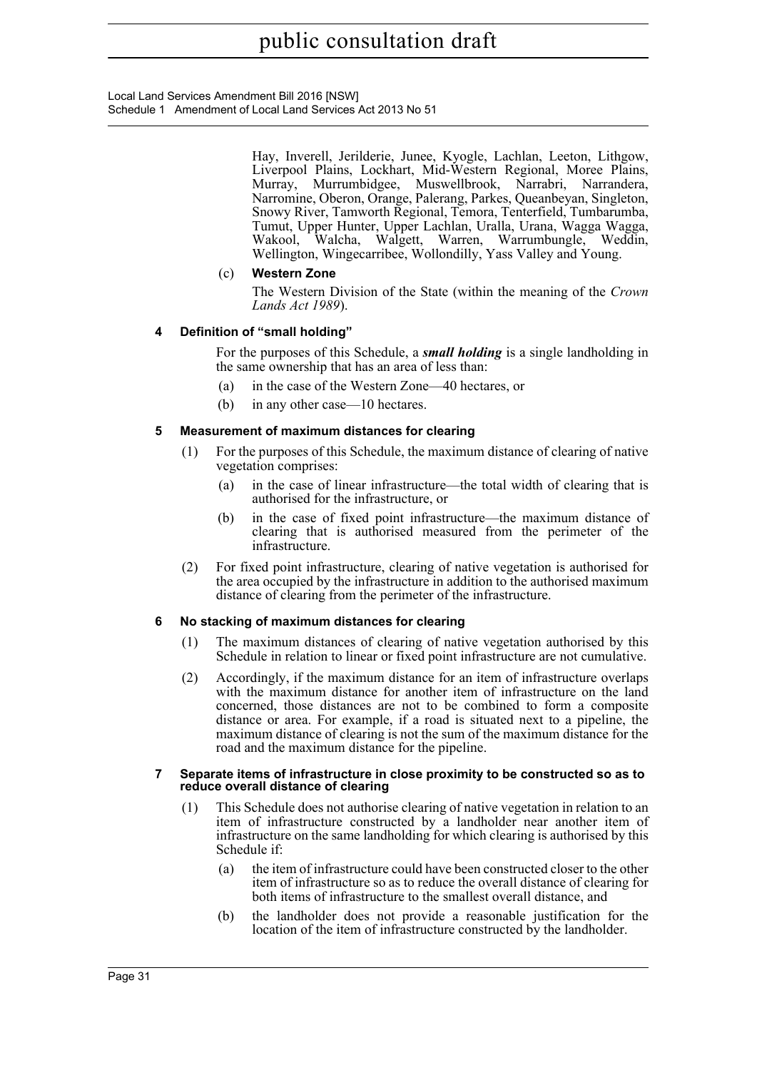Local Land Services Amendment Bill 2016 [NSW] Schedule 1 Amendment of Local Land Services Act 2013 No 51

> Hay, Inverell, Jerilderie, Junee, Kyogle, Lachlan, Leeton, Lithgow, Liverpool Plains, Lockhart, Mid-Western Regional, Moree Plains, Murray, Murrumbidgee, Muswellbrook, Narrabri, Narrandera, Narromine, Oberon, Orange, Palerang, Parkes, Queanbeyan, Singleton, Snowy River, Tamworth Regional, Temora, Tenterfield, Tumbarumba, Tumut, Upper Hunter, Upper Lachlan, Uralla, Urana, Wagga Wagga, Wakool, Walcha, Walgett, Warren, Warrumbungle, Weddin, Wellington, Wingecarribee, Wollondilly, Yass Valley and Young.

# (c) **Western Zone**

The Western Division of the State (within the meaning of the *Crown Lands Act 1989*).

# **4 Definition of "small holding"**

For the purposes of this Schedule, a *small holding* is a single landholding in the same ownership that has an area of less than:

- (a) in the case of the Western Zone—40 hectares, or
- (b) in any other case—10 hectares.

# **5 Measurement of maximum distances for clearing**

- (1) For the purposes of this Schedule, the maximum distance of clearing of native vegetation comprises:
	- (a) in the case of linear infrastructure—the total width of clearing that is authorised for the infrastructure, or
	- (b) in the case of fixed point infrastructure—the maximum distance of clearing that is authorised measured from the perimeter of the infrastructure.
- (2) For fixed point infrastructure, clearing of native vegetation is authorised for the area occupied by the infrastructure in addition to the authorised maximum distance of clearing from the perimeter of the infrastructure.

## **6 No stacking of maximum distances for clearing**

- (1) The maximum distances of clearing of native vegetation authorised by this Schedule in relation to linear or fixed point infrastructure are not cumulative.
- (2) Accordingly, if the maximum distance for an item of infrastructure overlaps with the maximum distance for another item of infrastructure on the land concerned, those distances are not to be combined to form a composite distance or area. For example, if a road is situated next to a pipeline, the maximum distance of clearing is not the sum of the maximum distance for the road and the maximum distance for the pipeline.

#### **7 Separate items of infrastructure in close proximity to be constructed so as to reduce overall distance of clearing**

- (1) This Schedule does not authorise clearing of native vegetation in relation to an item of infrastructure constructed by a landholder near another item of infrastructure on the same landholding for which clearing is authorised by this Schedule if:
	- (a) the item of infrastructure could have been constructed closer to the other item of infrastructure so as to reduce the overall distance of clearing for both items of infrastructure to the smallest overall distance, and
	- (b) the landholder does not provide a reasonable justification for the location of the item of infrastructure constructed by the landholder.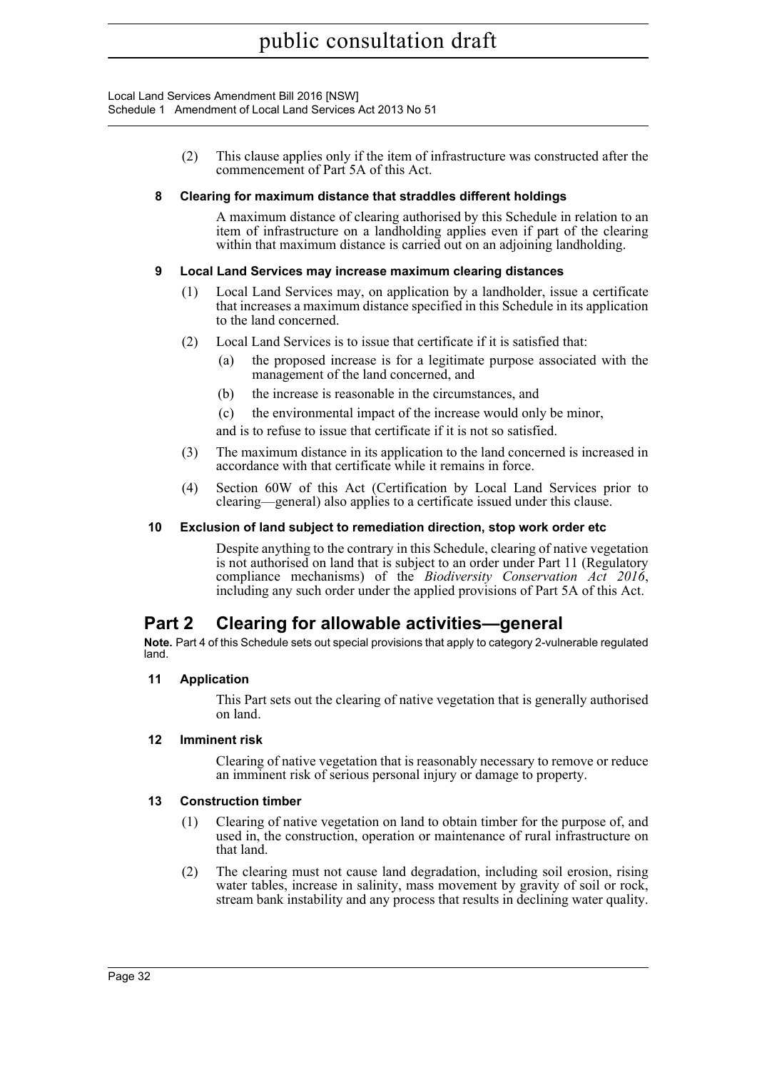> (2) This clause applies only if the item of infrastructure was constructed after the commencement of Part 5A of this Act.

### **8 Clearing for maximum distance that straddles different holdings**

A maximum distance of clearing authorised by this Schedule in relation to an item of infrastructure on a landholding applies even if part of the clearing within that maximum distance is carried out on an adjoining landholding.

### **9 Local Land Services may increase maximum clearing distances**

- (1) Local Land Services may, on application by a landholder, issue a certificate that increases a maximum distance specified in this Schedule in its application to the land concerned.
- (2) Local Land Services is to issue that certificate if it is satisfied that:
	- (a) the proposed increase is for a legitimate purpose associated with the management of the land concerned, and
	- (b) the increase is reasonable in the circumstances, and
	- (c) the environmental impact of the increase would only be minor,

and is to refuse to issue that certificate if it is not so satisfied.

- (3) The maximum distance in its application to the land concerned is increased in accordance with that certificate while it remains in force.
- (4) Section 60W of this Act (Certification by Local Land Services prior to clearing—general) also applies to a certificate issued under this clause.

#### **10 Exclusion of land subject to remediation direction, stop work order etc**

Despite anything to the contrary in this Schedule, clearing of native vegetation is not authorised on land that is subject to an order under Part 11 (Regulatory compliance mechanisms) of the *Biodiversity Conservation Act 2016*, including any such order under the applied provisions of Part 5A of this Act.

# **Part 2 Clearing for allowable activities—general**

**Note.** Part 4 of this Schedule sets out special provisions that apply to category 2-vulnerable regulated land.

## **11 Application**

This Part sets out the clearing of native vegetation that is generally authorised on land.

#### **12 Imminent risk**

Clearing of native vegetation that is reasonably necessary to remove or reduce an imminent risk of serious personal injury or damage to property.

#### **13 Construction timber**

- (1) Clearing of native vegetation on land to obtain timber for the purpose of, and used in, the construction, operation or maintenance of rural infrastructure on that land.
- (2) The clearing must not cause land degradation, including soil erosion, rising water tables, increase in salinity, mass movement by gravity of soil or rock, stream bank instability and any process that results in declining water quality.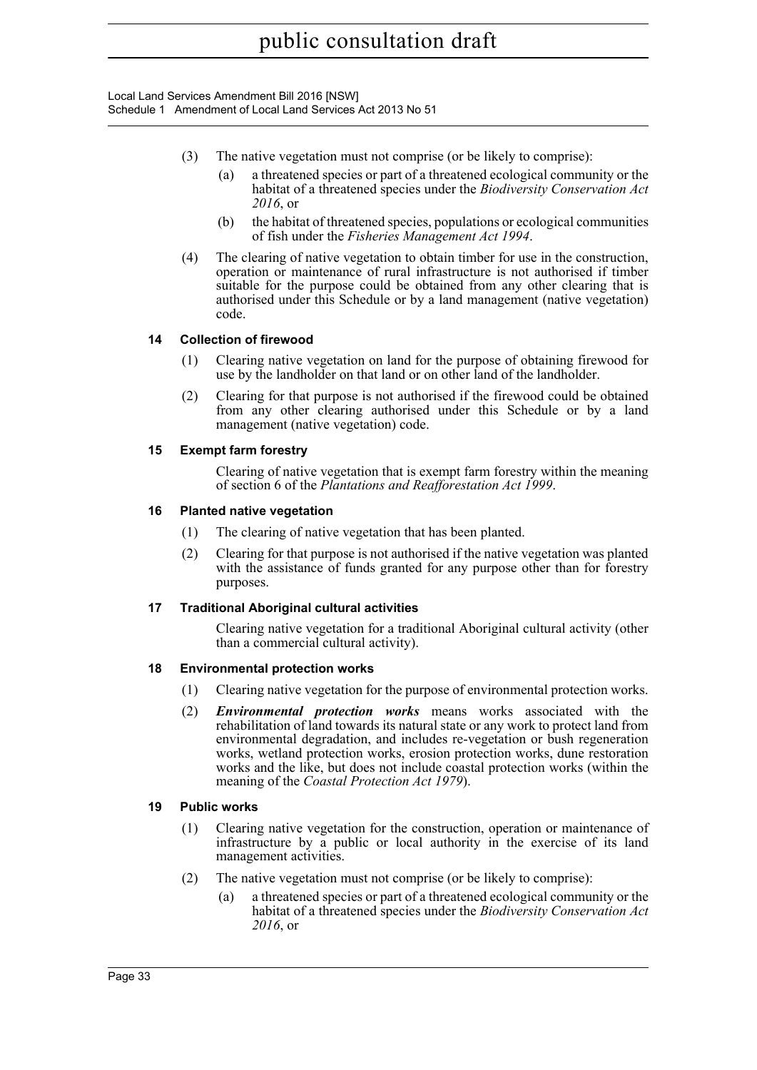- (3) The native vegetation must not comprise (or be likely to comprise):
	- (a) a threatened species or part of a threatened ecological community or the habitat of a threatened species under the *Biodiversity Conservation Act 2016*, or
	- (b) the habitat of threatened species, populations or ecological communities of fish under the *Fisheries Management Act 1994*.
- (4) The clearing of native vegetation to obtain timber for use in the construction, operation or maintenance of rural infrastructure is not authorised if timber suitable for the purpose could be obtained from any other clearing that is authorised under this Schedule or by a land management (native vegetation) code.

## **14 Collection of firewood**

- (1) Clearing native vegetation on land for the purpose of obtaining firewood for use by the landholder on that land or on other land of the landholder.
- (2) Clearing for that purpose is not authorised if the firewood could be obtained from any other clearing authorised under this Schedule or by a land management (native vegetation) code.

### **15 Exempt farm forestry**

Clearing of native vegetation that is exempt farm forestry within the meaning of section 6 of the *Plantations and Reafforestation Act 1999*.

### **16 Planted native vegetation**

- (1) The clearing of native vegetation that has been planted.
- (2) Clearing for that purpose is not authorised if the native vegetation was planted with the assistance of funds granted for any purpose other than for forestry purposes.

#### **17 Traditional Aboriginal cultural activities**

Clearing native vegetation for a traditional Aboriginal cultural activity (other than a commercial cultural activity).

#### **18 Environmental protection works**

- (1) Clearing native vegetation for the purpose of environmental protection works.
- (2) *Environmental protection works* means works associated with the rehabilitation of land towards its natural state or any work to protect land from environmental degradation, and includes re-vegetation or bush regeneration works, wetland protection works, erosion protection works, dune restoration works and the like, but does not include coastal protection works (within the meaning of the *Coastal Protection Act 1979*).

#### **19 Public works**

- (1) Clearing native vegetation for the construction, operation or maintenance of infrastructure by a public or local authority in the exercise of its land management activities.
- (2) The native vegetation must not comprise (or be likely to comprise):
	- (a) a threatened species or part of a threatened ecological community or the habitat of a threatened species under the *Biodiversity Conservation Act 2016*, or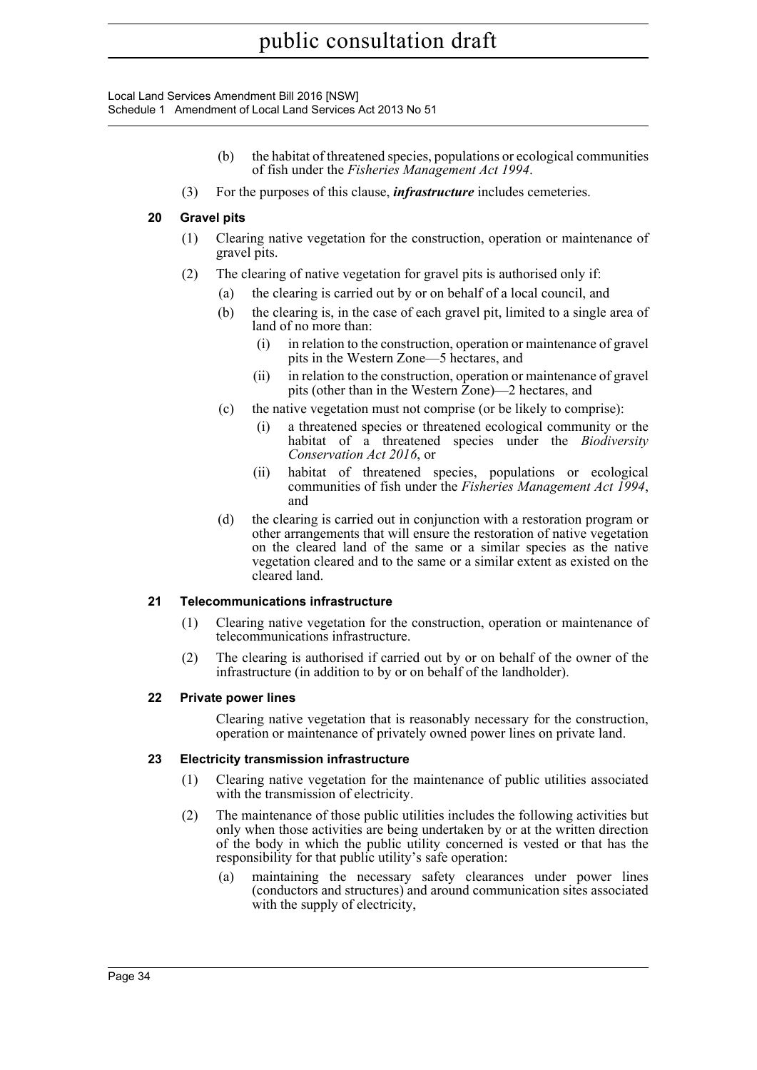Local Land Services Amendment Bill 2016 [NSW] Schedule 1 Amendment of Local Land Services Act 2013 No 51

- (b) the habitat of threatened species, populations or ecological communities of fish under the *Fisheries Management Act 1994*.
- (3) For the purposes of this clause, *infrastructure* includes cemeteries.

## **20 Gravel pits**

- (1) Clearing native vegetation for the construction, operation or maintenance of gravel pits.
- (2) The clearing of native vegetation for gravel pits is authorised only if:
	- (a) the clearing is carried out by or on behalf of a local council, and
	- (b) the clearing is, in the case of each gravel pit, limited to a single area of land of no more than:
		- (i) in relation to the construction, operation or maintenance of gravel pits in the Western Zone—5 hectares, and
		- (ii) in relation to the construction, operation or maintenance of gravel pits (other than in the Western Zone)—2 hectares, and
	- (c) the native vegetation must not comprise (or be likely to comprise):
		- (i) a threatened species or threatened ecological community or the habitat of a threatened species under the *Biodiversity Conservation Act 2016*, or
		- (ii) habitat of threatened species, populations or ecological communities of fish under the *Fisheries Management Act 1994*, and
	- (d) the clearing is carried out in conjunction with a restoration program or other arrangements that will ensure the restoration of native vegetation on the cleared land of the same or a similar species as the native vegetation cleared and to the same or a similar extent as existed on the cleared land.

## **21 Telecommunications infrastructure**

- (1) Clearing native vegetation for the construction, operation or maintenance of telecommunications infrastructure.
- (2) The clearing is authorised if carried out by or on behalf of the owner of the infrastructure (in addition to by or on behalf of the landholder).

## **22 Private power lines**

Clearing native vegetation that is reasonably necessary for the construction, operation or maintenance of privately owned power lines on private land.

#### **23 Electricity transmission infrastructure**

- (1) Clearing native vegetation for the maintenance of public utilities associated with the transmission of electricity.
- (2) The maintenance of those public utilities includes the following activities but only when those activities are being undertaken by or at the written direction of the body in which the public utility concerned is vested or that has the responsibility for that public utility's safe operation:
	- (a) maintaining the necessary safety clearances under power lines (conductors and structures) and around communication sites associated with the supply of electricity,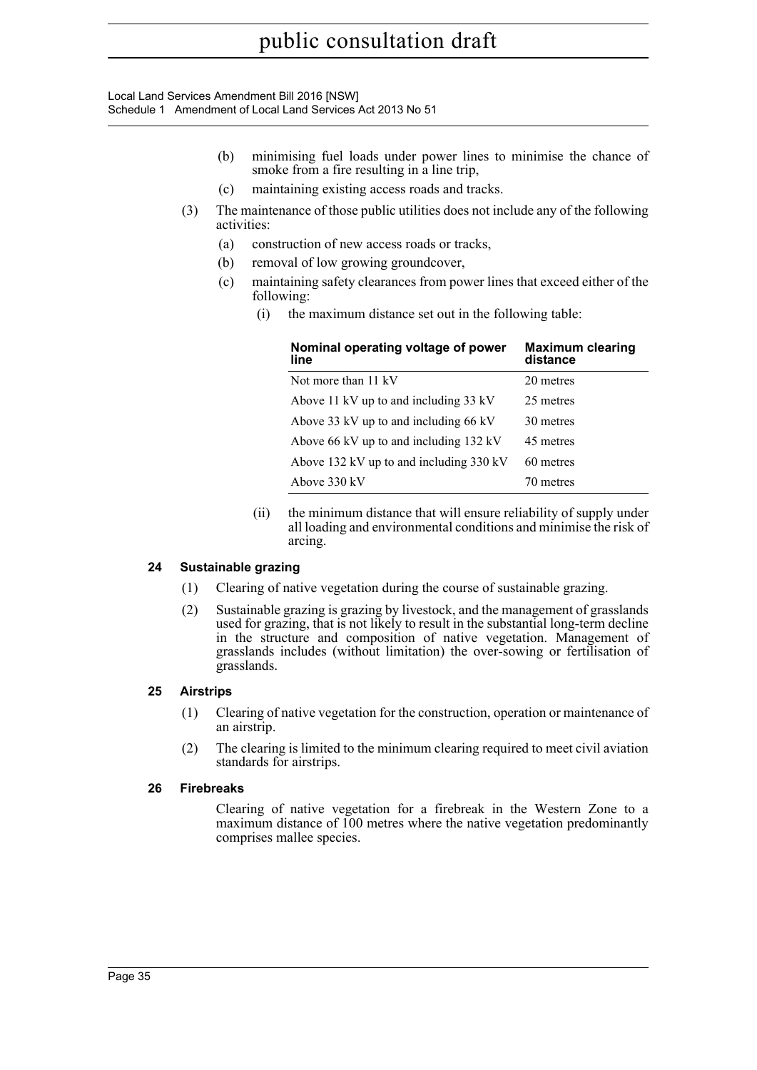Local Land Services Amendment Bill 2016 [NSW] Schedule 1 Amendment of Local Land Services Act 2013 No 51

- (b) minimising fuel loads under power lines to minimise the chance of smoke from a fire resulting in a line trip,
- (c) maintaining existing access roads and tracks.
- (3) The maintenance of those public utilities does not include any of the following activities:
	- (a) construction of new access roads or tracks,
	- (b) removal of low growing groundcover,
	- (c) maintaining safety clearances from power lines that exceed either of the following:
		- (i) the maximum distance set out in the following table:

| Nominal operating voltage of power<br>line | <b>Maximum clearing</b><br>distance |
|--------------------------------------------|-------------------------------------|
| Not more than 11 kV                        | 20 metres                           |
| Above 11 kV up to and including 33 kV      | 25 metres                           |
| Above 33 kV up to and including 66 kV      | 30 metres                           |
| Above 66 kV up to and including 132 kV     | 45 metres                           |
| Above 132 kV up to and including 330 kV    | 60 metres                           |
| Above 330 kV                               | 70 metres                           |

(ii) the minimum distance that will ensure reliability of supply under all loading and environmental conditions and minimise the risk of arcing.

## **24 Sustainable grazing**

- (1) Clearing of native vegetation during the course of sustainable grazing.
- (2) Sustainable grazing is grazing by livestock, and the management of grasslands used for grazing, that is not likely to result in the substantial long-term decline in the structure and composition of native vegetation. Management of grasslands includes (without limitation) the over-sowing or fertilisation of grasslands.

## **25 Airstrips**

- (1) Clearing of native vegetation for the construction, operation or maintenance of an airstrip.
- (2) The clearing is limited to the minimum clearing required to meet civil aviation standards for airstrips.

## **26 Firebreaks**

Clearing of native vegetation for a firebreak in the Western Zone to a maximum distance of 100 metres where the native vegetation predominantly comprises mallee species.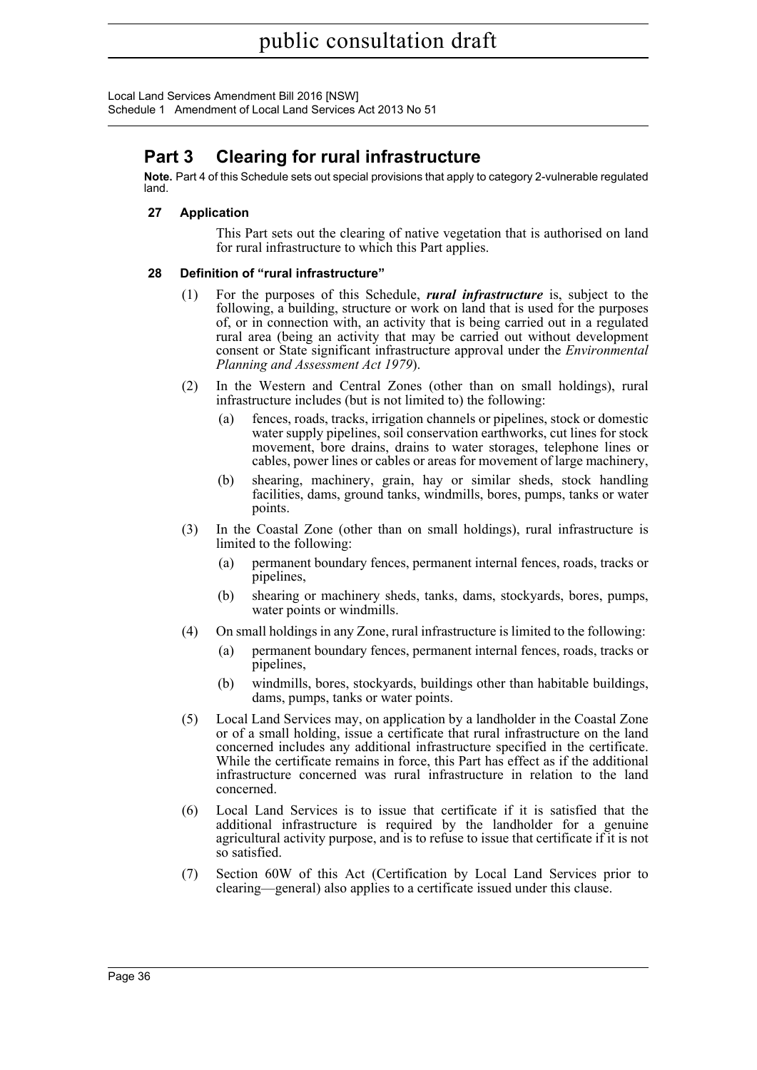# **Part 3 Clearing for rural infrastructure**

**Note.** Part 4 of this Schedule sets out special provisions that apply to category 2-vulnerable regulated land.

# **27 Application**

This Part sets out the clearing of native vegetation that is authorised on land for rural infrastructure to which this Part applies.

# **28 Definition of "rural infrastructure"**

- (1) For the purposes of this Schedule, *rural infrastructure* is, subject to the following, a building, structure or work on land that is used for the purposes of, or in connection with, an activity that is being carried out in a regulated rural area (being an activity that may be carried out without development consent or State significant infrastructure approval under the *Environmental Planning and Assessment Act 1979*).
- (2) In the Western and Central Zones (other than on small holdings), rural infrastructure includes (but is not limited to) the following:
	- (a) fences, roads, tracks, irrigation channels or pipelines, stock or domestic water supply pipelines, soil conservation earthworks, cut lines for stock movement, bore drains, drains to water storages, telephone lines or cables, power lines or cables or areas for movement of large machinery,
	- (b) shearing, machinery, grain, hay or similar sheds, stock handling facilities, dams, ground tanks, windmills, bores, pumps, tanks or water points.
- (3) In the Coastal Zone (other than on small holdings), rural infrastructure is limited to the following:
	- (a) permanent boundary fences, permanent internal fences, roads, tracks or pipelines,
	- (b) shearing or machinery sheds, tanks, dams, stockyards, bores, pumps, water points or windmills.
- (4) On small holdings in any Zone, rural infrastructure is limited to the following:
	- (a) permanent boundary fences, permanent internal fences, roads, tracks or pipelines,
	- (b) windmills, bores, stockyards, buildings other than habitable buildings, dams, pumps, tanks or water points.
- (5) Local Land Services may, on application by a landholder in the Coastal Zone or of a small holding, issue a certificate that rural infrastructure on the land concerned includes any additional infrastructure specified in the certificate. While the certificate remains in force, this Part has effect as if the additional infrastructure concerned was rural infrastructure in relation to the land concerned.
- (6) Local Land Services is to issue that certificate if it is satisfied that the additional infrastructure is required by the landholder for a genuine agricultural activity purpose, and is to refuse to issue that certificate if it is not so satisfied.
- (7) Section 60W of this Act (Certification by Local Land Services prior to clearing—general) also applies to a certificate issued under this clause.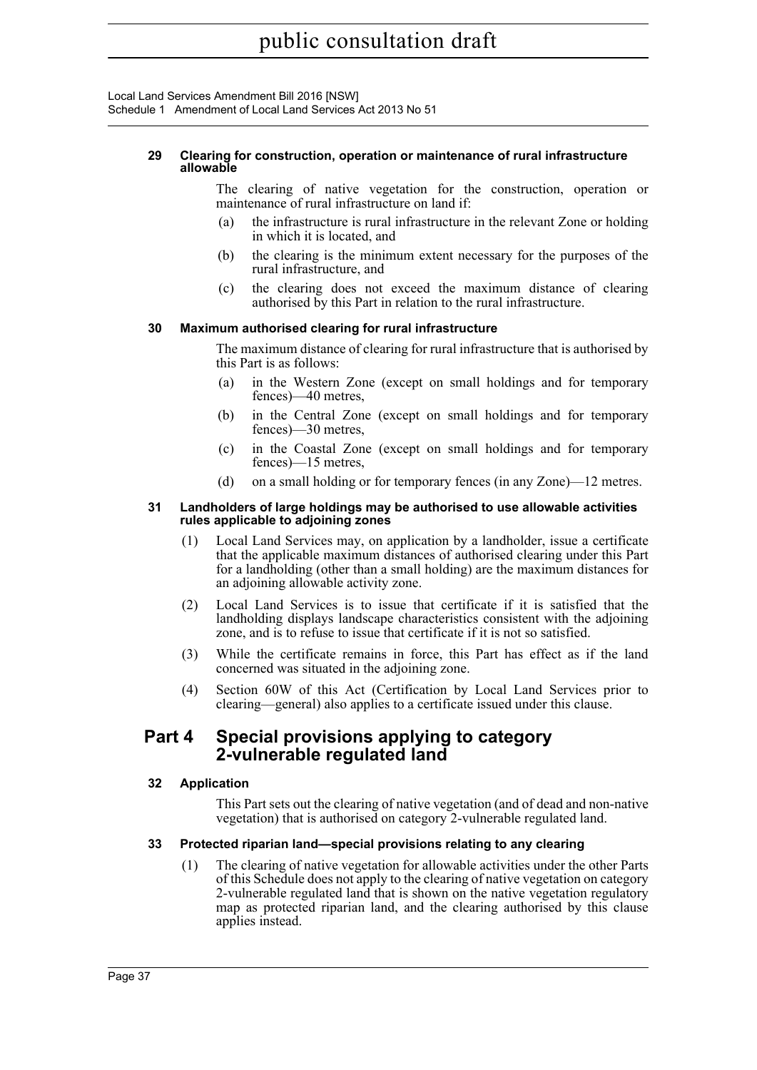Local Land Services Amendment Bill 2016 [NSW] Schedule 1 Amendment of Local Land Services Act 2013 No 51

#### **29 Clearing for construction, operation or maintenance of rural infrastructure allowable**

The clearing of native vegetation for the construction, operation or maintenance of rural infrastructure on land if:

- (a) the infrastructure is rural infrastructure in the relevant Zone or holding in which it is located, and
- (b) the clearing is the minimum extent necessary for the purposes of the rural infrastructure, and
- (c) the clearing does not exceed the maximum distance of clearing authorised by this Part in relation to the rural infrastructure.

## **30 Maximum authorised clearing for rural infrastructure**

The maximum distance of clearing for rural infrastructure that is authorised by this Part is as follows:

- (a) in the Western Zone (except on small holdings and for temporary fences)—40 metres,
- (b) in the Central Zone (except on small holdings and for temporary fences)—30 metres,
- (c) in the Coastal Zone (except on small holdings and for temporary fences)—15 metres,
- (d) on a small holding or for temporary fences (in any Zone)—12 metres.

#### **31 Landholders of large holdings may be authorised to use allowable activities rules applicable to adjoining zones**

- (1) Local Land Services may, on application by a landholder, issue a certificate that the applicable maximum distances of authorised clearing under this Part for a landholding (other than a small holding) are the maximum distances for an adjoining allowable activity zone.
- (2) Local Land Services is to issue that certificate if it is satisfied that the landholding displays landscape characteristics consistent with the adjoining zone, and is to refuse to issue that certificate if it is not so satisfied.
- (3) While the certificate remains in force, this Part has effect as if the land concerned was situated in the adjoining zone.
- (4) Section 60W of this Act (Certification by Local Land Services prior to clearing—general) also applies to a certificate issued under this clause.

# **Part 4 Special provisions applying to category 2-vulnerable regulated land**

## **32 Application**

This Part sets out the clearing of native vegetation (and of dead and non-native vegetation) that is authorised on category 2-vulnerable regulated land.

## **33 Protected riparian land—special provisions relating to any clearing**

(1) The clearing of native vegetation for allowable activities under the other Parts of this Schedule does not apply to the clearing of native vegetation on category 2-vulnerable regulated land that is shown on the native vegetation regulatory map as protected riparian land, and the clearing authorised by this clause applies instead.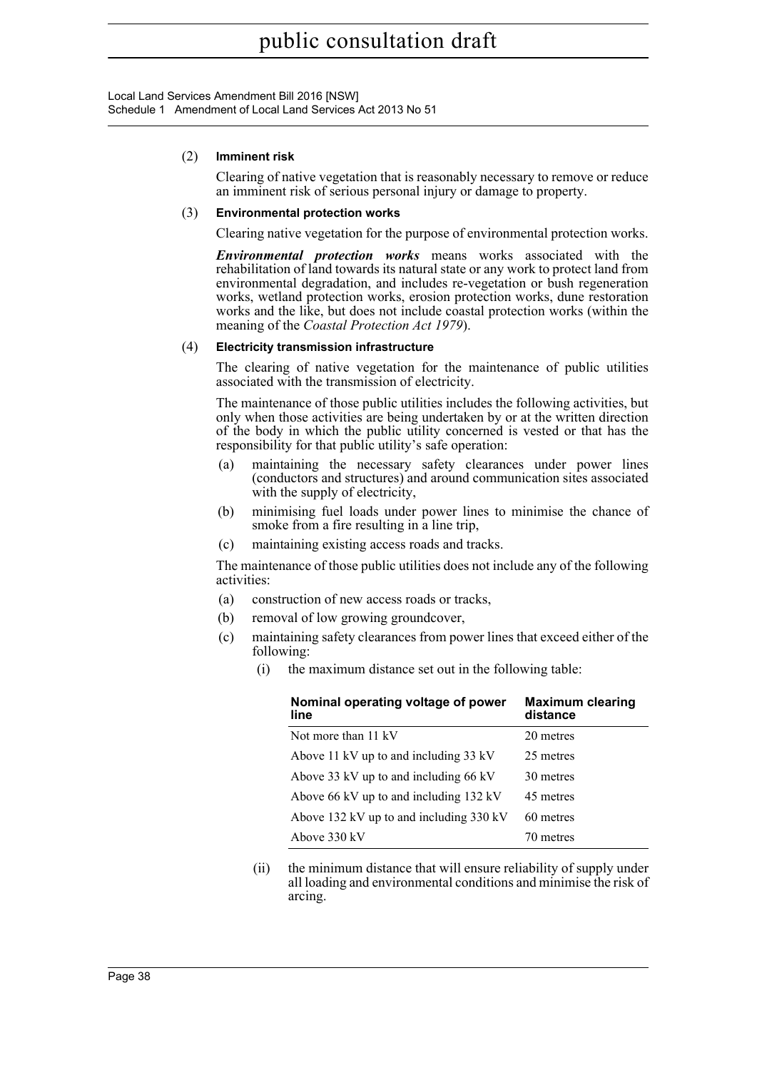Local Land Services Amendment Bill 2016 [NSW] Schedule 1 Amendment of Local Land Services Act 2013 No 51

#### (2) **Imminent risk**

Clearing of native vegetation that is reasonably necessary to remove or reduce an imminent risk of serious personal injury or damage to property.

#### (3) **Environmental protection works**

Clearing native vegetation for the purpose of environmental protection works.

*Environmental protection works* means works associated with the rehabilitation of land towards its natural state or any work to protect land from environmental degradation, and includes re-vegetation or bush regeneration works, wetland protection works, erosion protection works, dune restoration works and the like, but does not include coastal protection works (within the meaning of the *Coastal Protection Act 1979*).

### (4) **Electricity transmission infrastructure**

The clearing of native vegetation for the maintenance of public utilities associated with the transmission of electricity.

The maintenance of those public utilities includes the following activities, but only when those activities are being undertaken by or at the written direction of the body in which the public utility concerned is vested or that has the responsibility for that public utility's safe operation:

- (a) maintaining the necessary safety clearances under power lines (conductors and structures) and around communication sites associated with the supply of electricity,
- (b) minimising fuel loads under power lines to minimise the chance of smoke from a fire resulting in a line trip,
- (c) maintaining existing access roads and tracks.

The maintenance of those public utilities does not include any of the following activities:

- (a) construction of new access roads or tracks,
- (b) removal of low growing groundcover,
- (c) maintaining safety clearances from power lines that exceed either of the following:
	- (i) the maximum distance set out in the following table:

| Nominal operating voltage of power<br>line | <b>Maximum clearing</b><br>distance |  |  |
|--------------------------------------------|-------------------------------------|--|--|
| Not more than 11 kV                        | 20 metres                           |  |  |
| Above 11 kV up to and including 33 kV      | 25 metres                           |  |  |
| Above 33 kV up to and including 66 kV      | 30 metres                           |  |  |
| Above 66 kV up to and including 132 kV     | 45 metres                           |  |  |
| Above 132 kV up to and including 330 kV    | 60 metres                           |  |  |
| Above 330 kV                               | 70 metres                           |  |  |

(ii) the minimum distance that will ensure reliability of supply under all loading and environmental conditions and minimise the risk of arcing.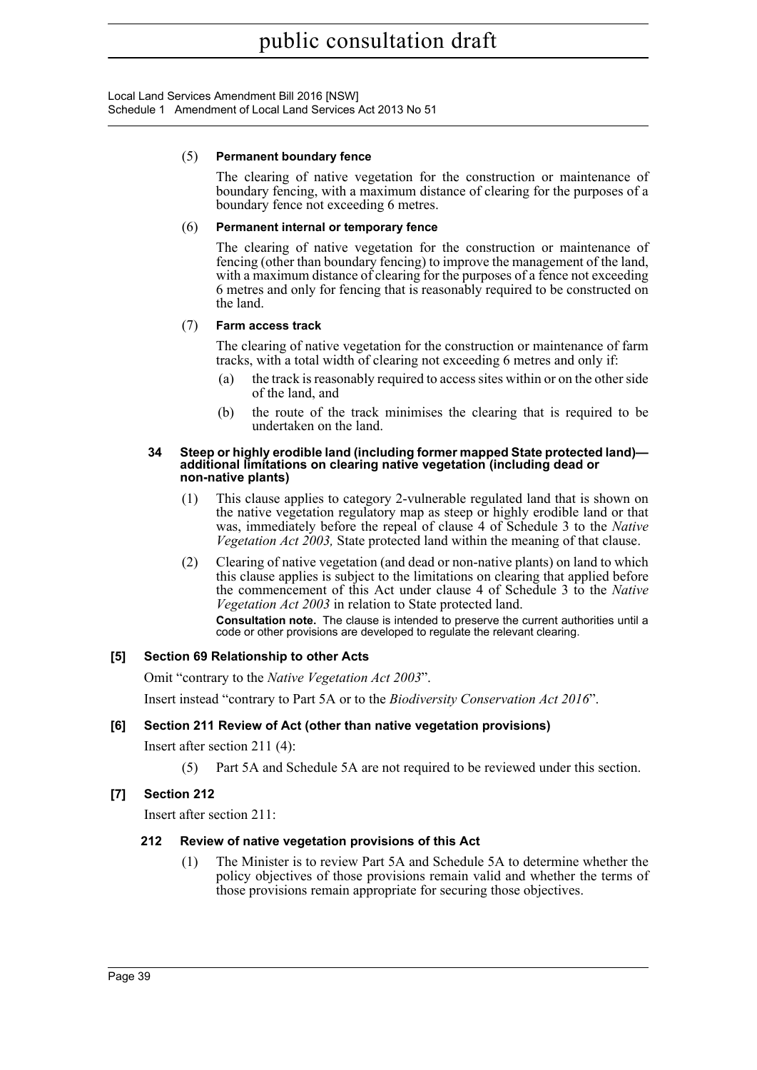Local Land Services Amendment Bill 2016 [NSW] Schedule 1 Amendment of Local Land Services Act 2013 No 51

#### (5) **Permanent boundary fence**

The clearing of native vegetation for the construction or maintenance of boundary fencing, with a maximum distance of clearing for the purposes of a boundary fence not exceeding 6 metres.

### (6) **Permanent internal or temporary fence**

The clearing of native vegetation for the construction or maintenance of fencing (other than boundary fencing) to improve the management of the land, with a maximum distance of clearing for the purposes of a fence not exceeding 6 metres and only for fencing that is reasonably required to be constructed on the land.

## (7) **Farm access track**

The clearing of native vegetation for the construction or maintenance of farm tracks, with a total width of clearing not exceeding 6 metres and only if:

- (a) the track is reasonably required to access sites within or on the other side of the land, and
- (b) the route of the track minimises the clearing that is required to be undertaken on the land.

#### **34 Steep or highly erodible land (including former mapped State protected land) additional limitations on clearing native vegetation (including dead or non-native plants)**

- (1) This clause applies to category 2-vulnerable regulated land that is shown on the native vegetation regulatory map as steep or highly erodible land or that was, immediately before the repeal of clause 4 of Schedule 3 to the *Native Vegetation Act 2003,* State protected land within the meaning of that clause.
- (2) Clearing of native vegetation (and dead or non-native plants) on land to which this clause applies is subject to the limitations on clearing that applied before the commencement of this Act under clause 4 of Schedule 3 to the *Native Vegetation Act 2003* in relation to State protected land.

**Consultation note.** The clause is intended to preserve the current authorities until a code or other provisions are developed to regulate the relevant clearing.

## **[5] Section 69 Relationship to other Acts**

Omit "contrary to the *Native Vegetation Act 2003*".

Insert instead "contrary to Part 5A or to the *Biodiversity Conservation Act 2016*".

## **[6] Section 211 Review of Act (other than native vegetation provisions)**

Insert after section 211 (4):

(5) Part 5A and Schedule 5A are not required to be reviewed under this section.

## **[7] Section 212**

Insert after section 211:

### **212 Review of native vegetation provisions of this Act**

(1) The Minister is to review Part 5A and Schedule 5A to determine whether the policy objectives of those provisions remain valid and whether the terms of those provisions remain appropriate for securing those objectives.